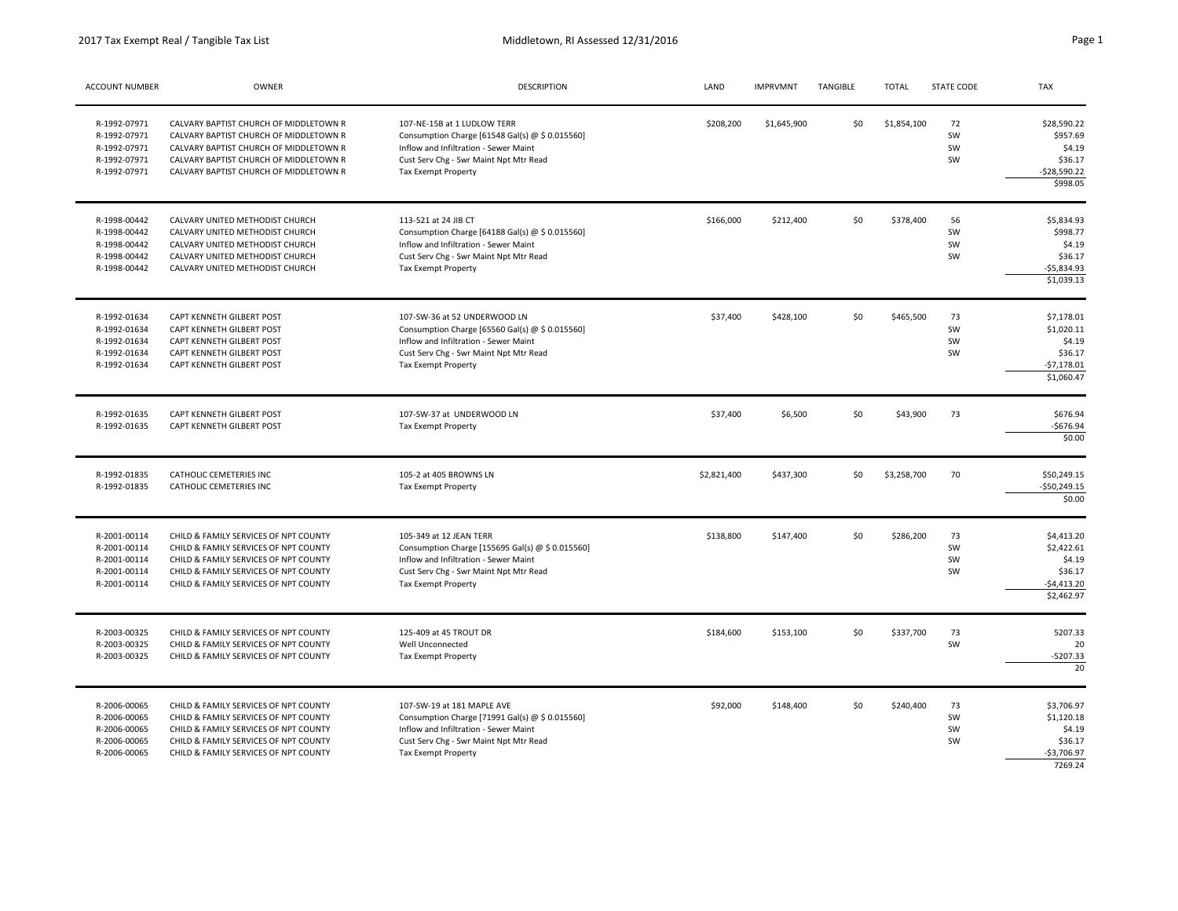| ACCOUNT NUMBER                                                               | OWNER                                                                                                                                                                                                          | <b>DESCRIPTION</b>                                                                                                                                                                        | LAND        | <b>IMPRVMNT</b> | TANGIBLE | <b>TOTAL</b> | STATE CODE           | TAX                                                                         |
|------------------------------------------------------------------------------|----------------------------------------------------------------------------------------------------------------------------------------------------------------------------------------------------------------|-------------------------------------------------------------------------------------------------------------------------------------------------------------------------------------------|-------------|-----------------|----------|--------------|----------------------|-----------------------------------------------------------------------------|
| R-1992-07971<br>R-1992-07971<br>R-1992-07971<br>R-1992-07971<br>R-1992-07971 | CALVARY BAPTIST CHURCH OF MIDDLETOWN R<br>CALVARY BAPTIST CHURCH OF MIDDLETOWN R<br>CALVARY BAPTIST CHURCH OF MIDDLETOWN R<br>CALVARY BAPTIST CHURCH OF MIDDLETOWN R<br>CALVARY BAPTIST CHURCH OF MIDDLETOWN R | 107-NE-15B at 1 LUDLOW TERR<br>Consumption Charge [61548 Gal(s) @ \$ 0.015560]<br>Inflow and Infiltration - Sewer Maint<br>Cust Serv Chg - Swr Maint Npt Mtr Read<br>Tax Exempt Property  | \$208,200   | \$1,645,900     | \$0      | \$1,854,100  | 72<br>SW<br>SW<br>SW | \$28,590.22<br>\$957.69<br>\$4.19<br>\$36.17<br>-\$28,590.22<br>\$998.05    |
| R-1998-00442<br>R-1998-00442<br>R-1998-00442<br>R-1998-00442<br>R-1998-00442 | CALVARY UNITED METHODIST CHURCH<br>CALVARY UNITED METHODIST CHURCH<br>CALVARY UNITED METHODIST CHURCH<br>CALVARY UNITED METHODIST CHURCH<br>CALVARY UNITED METHODIST CHURCH                                    | 113-521 at 24 JIB CT<br>Consumption Charge [64188 Gal(s) @ \$ 0.015560]<br>Inflow and Infiltration - Sewer Maint<br>Cust Serv Chg - Swr Maint Npt Mtr Read<br>Tax Exempt Property         | \$166,000   | \$212,400       | \$0      | \$378,400    | 56<br>SW<br>SW<br>SW | \$5,834.93<br>\$998.77<br>\$4.19<br>\$36.17<br>$-$5,834.93$<br>\$1,039.13   |
| R-1992-01634<br>R-1992-01634<br>R-1992-01634<br>R-1992-01634<br>R-1992-01634 | CAPT KENNETH GILBERT POST<br>CAPT KENNETH GILBERT POST<br>CAPT KENNETH GILBERT POST<br>CAPT KENNETH GILBERT POST<br>CAPT KENNETH GILBERT POST                                                                  | 107-SW-36 at 52 UNDERWOOD LN<br>Consumption Charge [65560 Gal(s) @ \$ 0.015560]<br>Inflow and Infiltration - Sewer Maint<br>Cust Serv Chg - Swr Maint Npt Mtr Read<br>Tax Exempt Property | \$37,400    | \$428,100       | \$0      | \$465,500    | 73<br>SW<br>SW<br>SW | \$7,178.01<br>\$1,020.11<br>\$4.19<br>\$36.17<br>$-57,178.01$<br>\$1,060.47 |
| R-1992-01635<br>R-1992-01635                                                 | CAPT KENNETH GILBERT POST<br>CAPT KENNETH GILBERT POST                                                                                                                                                         | 107-SW-37 at UNDERWOOD LN<br>Tax Exempt Property                                                                                                                                          | \$37,400    | \$6,500         | \$0      | \$43,900     | 73                   | \$676.94<br>$-$676.94$<br>\$0.00                                            |
| R-1992-01835<br>R-1992-01835                                                 | CATHOLIC CEMETERIES INC<br>CATHOLIC CEMETERIES INC                                                                                                                                                             | 105-2 at 405 BROWNS LN<br>Tax Exempt Property                                                                                                                                             | \$2,821,400 | \$437,300       | \$0      | \$3,258,700  | 70                   | \$50,249.15<br>$-$50,249.15$<br>\$0.00                                      |
| R-2001-00114<br>R-2001-00114<br>R-2001-00114<br>R-2001-00114<br>R-2001-00114 | CHILD & FAMILY SERVICES OF NPT COUNTY<br>CHILD & FAMILY SERVICES OF NPT COUNTY<br>CHILD & FAMILY SERVICES OF NPT COUNTY<br>CHILD & FAMILY SERVICES OF NPT COUNTY<br>CHILD & FAMILY SERVICES OF NPT COUNTY      | 105-349 at 12 JEAN TERR<br>Consumption Charge [155695 Gal(s) @ \$ 0.015560]<br>Inflow and Infiltration - Sewer Maint<br>Cust Serv Chg - Swr Maint Npt Mtr Read<br>Tax Exempt Property     | \$138,800   | \$147,400       | \$0      | \$286,200    | 73<br>SW<br>SW<br>SW | \$4,413.20<br>\$2,422.61<br>\$4.19<br>\$36.17<br>-\$4,413.20<br>\$2,462.97  |
| R-2003-00325<br>R-2003-00325<br>R-2003-00325                                 | CHILD & FAMILY SERVICES OF NPT COUNTY<br>CHILD & FAMILY SERVICES OF NPT COUNTY<br>CHILD & FAMILY SERVICES OF NPT COUNTY                                                                                        | 125-409 at 45 TROUT DR<br>Well Unconnected<br>Tax Exempt Property                                                                                                                         | \$184,600   | \$153,100       | \$0      | \$337,700    | 73<br>SW             | 5207.33<br>20<br>-5207.33<br>$\overline{20}$                                |
| R-2006-00065<br>R-2006-00065<br>R-2006-00065<br>R-2006-00065<br>R-2006-00065 | CHILD & FAMILY SERVICES OF NPT COUNTY<br>CHILD & FAMILY SERVICES OF NPT COUNTY<br>CHILD & FAMILY SERVICES OF NPT COUNTY<br>CHILD & FAMILY SERVICES OF NPT COUNTY<br>CHILD & FAMILY SERVICES OF NPT COUNTY      | 107-SW-19 at 181 MAPLE AVE<br>Consumption Charge [71991 Gal(s) @ \$ 0.015560]<br>Inflow and Infiltration - Sewer Maint<br>Cust Serv Chg - Swr Maint Npt Mtr Read<br>Tax Exempt Property   | \$92,000    | \$148,400       | \$0      | \$240,400    | 73<br>SW<br>SW<br>SW | \$3,706.97<br>\$1,120.18<br>\$4.19<br>\$36.17<br>$-53,706.97$               |

7269.24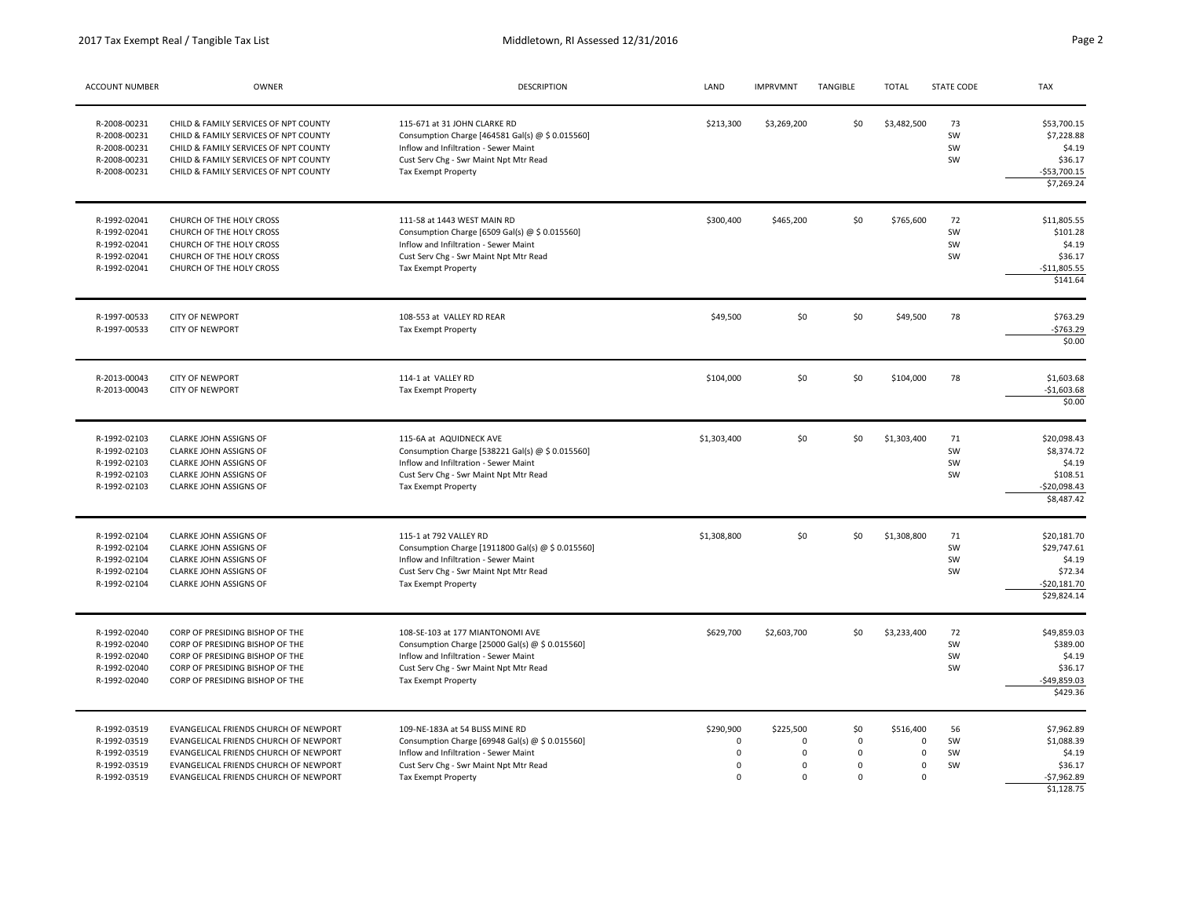| <b>ACCOUNT NUMBER</b>                                                        | OWNER                                                                                                                                                                                                     | DESCRIPTION                                                                                                                                                                                       | LAND                                                  | <b>IMPRVMNT</b>                                                    | TANGIBLE                                                     | <b>TOTAL</b>                                                       | <b>STATE CODE</b>    | <b>TAX</b>                                                                      |
|------------------------------------------------------------------------------|-----------------------------------------------------------------------------------------------------------------------------------------------------------------------------------------------------------|---------------------------------------------------------------------------------------------------------------------------------------------------------------------------------------------------|-------------------------------------------------------|--------------------------------------------------------------------|--------------------------------------------------------------|--------------------------------------------------------------------|----------------------|---------------------------------------------------------------------------------|
| R-2008-00231<br>R-2008-00231<br>R-2008-00231<br>R-2008-00231<br>R-2008-00231 | CHILD & FAMILY SERVICES OF NPT COUNTY<br>CHILD & FAMILY SERVICES OF NPT COUNTY<br>CHILD & FAMILY SERVICES OF NPT COUNTY<br>CHILD & FAMILY SERVICES OF NPT COUNTY<br>CHILD & FAMILY SERVICES OF NPT COUNTY | 115-671 at 31 JOHN CLARKE RD<br>Consumption Charge [464581 Gal(s) @ \$ 0.015560]<br>Inflow and Infiltration - Sewer Maint<br>Cust Serv Chg - Swr Maint Npt Mtr Read<br><b>Tax Exempt Property</b> | \$213,300                                             | \$3,269,200                                                        | \$0                                                          | \$3,482,500                                                        | 73<br>SW<br>SW<br>SW | \$53,700.15<br>\$7,228.88<br>\$4.19<br>\$36.17<br>$-553,700.15$<br>\$7,269.24   |
| R-1992-02041<br>R-1992-02041<br>R-1992-02041<br>R-1992-02041<br>R-1992-02041 | CHURCH OF THE HOLY CROSS<br>CHURCH OF THE HOLY CROSS<br>CHURCH OF THE HOLY CROSS<br>CHURCH OF THE HOLY CROSS<br>CHURCH OF THE HOLY CROSS                                                                  | 111-58 at 1443 WEST MAIN RD<br>Consumption Charge [6509 Gal(s) @ \$ 0.015560]<br>Inflow and Infiltration - Sewer Maint<br>Cust Serv Chg - Swr Maint Npt Mtr Read<br>Tax Exempt Property           | \$300,400                                             | \$465,200                                                          | \$0                                                          | \$765,600                                                          | 72<br>SW<br>SW<br>SW | \$11,805.55<br>\$101.28<br>\$4.19<br>\$36.17<br>$-$11,805.55$<br>\$141.64       |
| R-1997-00533<br>R-1997-00533                                                 | <b>CITY OF NEWPORT</b><br><b>CITY OF NEWPORT</b>                                                                                                                                                          | 108-553 at VALLEY RD REAR<br>Tax Exempt Property                                                                                                                                                  | \$49,500                                              | \$0                                                                | \$0                                                          | \$49,500                                                           | 78                   | \$763.29<br>$-$763.29$<br>\$0.00                                                |
| R-2013-00043<br>R-2013-00043                                                 | <b>CITY OF NEWPORT</b><br><b>CITY OF NEWPORT</b>                                                                                                                                                          | 114-1 at VALLEY RD<br>Tax Exempt Property                                                                                                                                                         | \$104,000                                             | \$0                                                                | 50                                                           | \$104,000                                                          | 78                   | \$1,603.68<br>$-$1,603.68$<br>\$0.00                                            |
| R-1992-02103<br>R-1992-02103<br>R-1992-02103<br>R-1992-02103<br>R-1992-02103 | CLARKE JOHN ASSIGNS OF<br>CLARKE JOHN ASSIGNS OF<br>CLARKE JOHN ASSIGNS OF<br>CLARKE JOHN ASSIGNS OF<br>CLARKE JOHN ASSIGNS OF                                                                            | 115-6A at AQUIDNECK AVE<br>Consumption Charge [538221 Gal(s) @ \$ 0.015560]<br>Inflow and Infiltration - Sewer Maint<br>Cust Serv Chg - Swr Maint Npt Mtr Read<br>Tax Exempt Property             | \$1,303,400                                           | \$0                                                                | \$0                                                          | \$1,303,400                                                        | 71<br>SW<br>SW<br>SW | \$20,098.43<br>\$8,374.72<br>\$4.19<br>\$108.51<br>$-$20,098.43$<br>\$8,487.42  |
| R-1992-02104<br>R-1992-02104<br>R-1992-02104<br>R-1992-02104<br>R-1992-02104 | CLARKE JOHN ASSIGNS OF<br><b>CLARKE JOHN ASSIGNS OF</b><br>CLARKE JOHN ASSIGNS OF<br>CLARKE JOHN ASSIGNS OF<br>CLARKE JOHN ASSIGNS OF                                                                     | 115-1 at 792 VALLEY RD<br>Consumption Charge [1911800 Gal(s) @ \$ 0.015560]<br>Inflow and Infiltration - Sewer Maint<br>Cust Serv Chg - Swr Maint Npt Mtr Read<br>Tax Exempt Property             | \$1,308,800                                           | \$0                                                                | \$0                                                          | \$1,308,800                                                        | 71<br>SW<br>SW<br>SW | \$20,181.70<br>\$29,747.61<br>\$4.19<br>\$72.34<br>$-520,181.70$<br>\$29,824.14 |
| R-1992-02040<br>R-1992-02040<br>R-1992-02040<br>R-1992-02040<br>R-1992-02040 | CORP OF PRESIDING BISHOP OF THE<br>CORP OF PRESIDING BISHOP OF THE<br>CORP OF PRESIDING BISHOP OF THE<br>CORP OF PRESIDING BISHOP OF THE<br>CORP OF PRESIDING BISHOP OF THE                               | 108-SE-103 at 177 MIANTONOMI AVE<br>Consumption Charge [25000 Gal(s) @ \$ 0.015560]<br>Inflow and Infiltration - Sewer Maint<br>Cust Serv Chg - Swr Maint Npt Mtr Read<br>Tax Exempt Property     | \$629,700                                             | \$2,603,700                                                        | \$0                                                          | \$3,233,400                                                        | 72<br>SW<br>SW<br>SW | \$49,859.03<br>\$389.00<br>\$4.19<br>\$36.17<br>$-$49,859.03$<br>\$429.36       |
| R-1992-03519<br>R-1992-03519<br>R-1992-03519<br>R-1992-03519<br>R-1992-03519 | EVANGELICAL FRIENDS CHURCH OF NEWPORT<br>EVANGELICAL FRIENDS CHURCH OF NEWPORT<br>EVANGELICAL FRIENDS CHURCH OF NEWPORT<br>EVANGELICAL FRIENDS CHURCH OF NEWPORT<br>EVANGELICAL FRIENDS CHURCH OF NEWPORT | 109-NE-183A at 54 BLISS MINE RD<br>Consumption Charge [69948 Gal(s) @ \$ 0.015560]<br>Inflow and Infiltration - Sewer Maint<br>Cust Serv Chg - Swr Maint Npt Mtr Read<br>Tax Exempt Property      | \$290,900<br>$\mathbf 0$<br>0<br>$\Omega$<br>$\Omega$ | \$225,500<br>$\mathbf 0$<br>$\mathbf 0$<br>$\mathbf 0$<br>$\Omega$ | \$0<br>$\mathbf 0$<br>$\mathbf 0$<br>$\mathbf 0$<br>$\Omega$ | \$516,400<br>$\mathbf 0$<br>$\,0\,$<br>$\mathbf 0$<br>$\mathbf{0}$ | 56<br>SW<br>SW<br>SW | \$7,962.89<br>\$1,088.39<br>\$4.19<br>\$36.17<br>$-$7,962.89$<br>\$1.128.75     |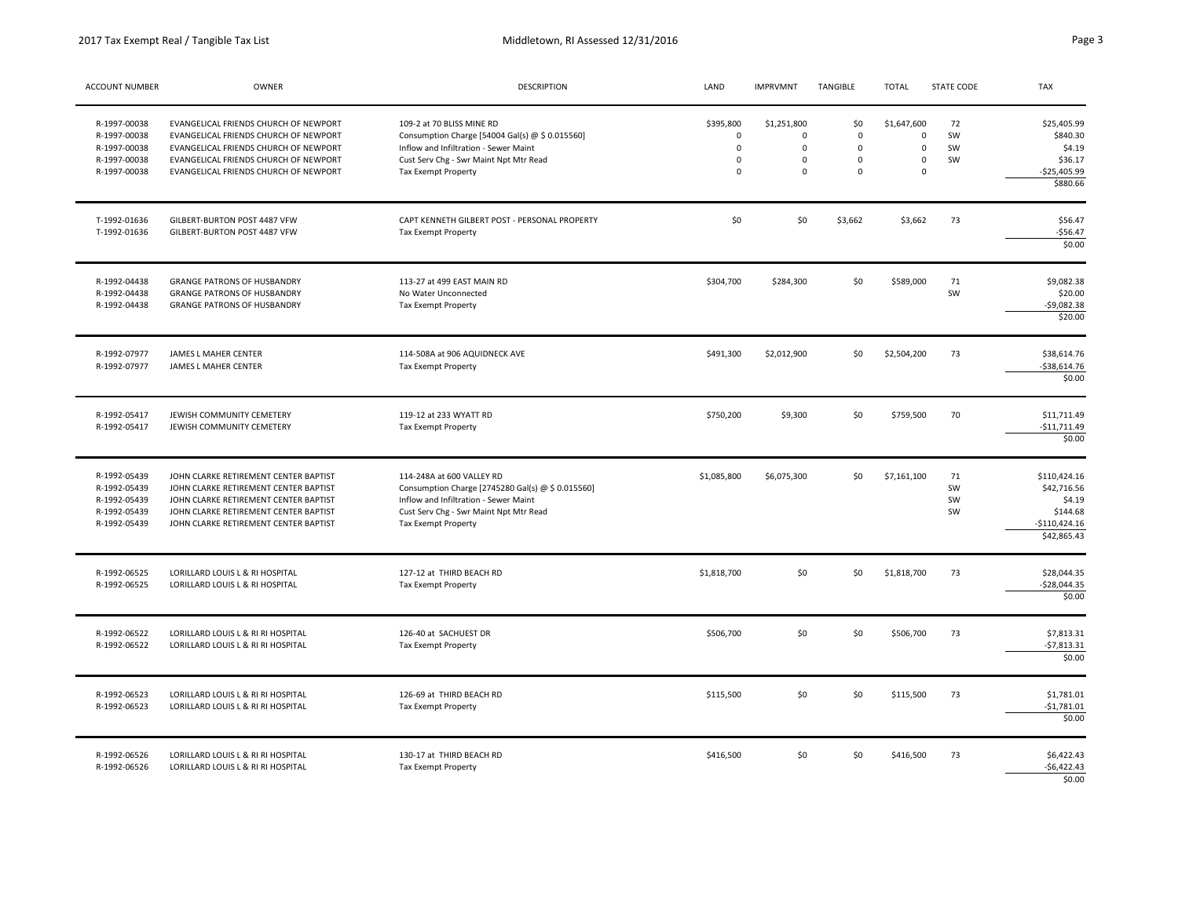| ACCOUNT NUMBER                                                               | OWNER                                                                                                                                                                                                     | <b>DESCRIPTION</b>                                                                                                                                                                       | LAND                                                            | <b>IMPRVMNT</b>                                                | TANGIBLE                                               | <b>TOTAL</b>                                                            | <b>STATE CODE</b>    | TAX                                                                                |
|------------------------------------------------------------------------------|-----------------------------------------------------------------------------------------------------------------------------------------------------------------------------------------------------------|------------------------------------------------------------------------------------------------------------------------------------------------------------------------------------------|-----------------------------------------------------------------|----------------------------------------------------------------|--------------------------------------------------------|-------------------------------------------------------------------------|----------------------|------------------------------------------------------------------------------------|
| R-1997-00038<br>R-1997-00038<br>R-1997-00038<br>R-1997-00038<br>R-1997-00038 | EVANGELICAL FRIENDS CHURCH OF NEWPORT<br>EVANGELICAL FRIENDS CHURCH OF NEWPORT<br>EVANGELICAL FRIENDS CHURCH OF NEWPORT<br>EVANGELICAL FRIENDS CHURCH OF NEWPORT<br>EVANGELICAL FRIENDS CHURCH OF NEWPORT | 109-2 at 70 BLISS MINE RD<br>Consumption Charge [54004 Gal(s) @ \$ 0.015560]<br>Inflow and Infiltration - Sewer Maint<br>Cust Serv Chg - Swr Maint Npt Mtr Read<br>Tax Exempt Property   | \$395,800<br>$\mathbf 0$<br>$\mathbf 0$<br>$\Omega$<br>$\Omega$ | \$1,251,800<br>$\Omega$<br>$\Omega$<br>$\mathbf 0$<br>$\Omega$ | \$0<br>$\Omega$<br>$\Omega$<br>$\mathbf 0$<br>$\Omega$ | \$1,647,600<br>$\mathbf 0$<br>$\mathbf 0$<br>$\mathbf 0$<br>$\mathbf 0$ | 72<br>SW<br>SW<br>SW | \$25,405.99<br>\$840.30<br>\$4.19<br>\$36.17<br>$-$25,405.99$<br>\$880.66          |
| T-1992-01636<br>T-1992-01636                                                 | GILBERT-BURTON POST 4487 VFW<br>GILBERT-BURTON POST 4487 VFW                                                                                                                                              | CAPT KENNETH GILBERT POST - PERSONAL PROPERTY<br>Tax Exempt Property                                                                                                                     | \$0                                                             | \$0                                                            | \$3,662                                                | \$3,662                                                                 | 73                   | \$56.47<br>$-556.47$<br>\$0.00                                                     |
| R-1992-04438<br>R-1992-04438<br>R-1992-04438                                 | <b>GRANGE PATRONS OF HUSBANDRY</b><br><b>GRANGE PATRONS OF HUSBANDRY</b><br><b>GRANGE PATRONS OF HUSBANDRY</b>                                                                                            | 113-27 at 499 EAST MAIN RD<br>No Water Unconnected<br>Tax Exempt Property                                                                                                                | \$304,700                                                       | \$284,300                                                      | \$0                                                    | \$589,000                                                               | 71<br>SW             | \$9,082.38<br>\$20.00<br>$-59,082.38$<br>\$20.00                                   |
| R-1992-07977<br>R-1992-07977                                                 | JAMES L MAHER CENTER<br>JAMES L MAHER CENTER                                                                                                                                                              | 114-508A at 906 AQUIDNECK AVE<br>Tax Exempt Property                                                                                                                                     | \$491,300                                                       | \$2,012,900                                                    | \$0                                                    | \$2,504,200                                                             | 73                   | \$38,614.76<br>$-538,614.76$<br>\$0.00                                             |
| R-1992-05417<br>R-1992-05417                                                 | JEWISH COMMUNITY CEMETERY<br>JEWISH COMMUNITY CEMETERY                                                                                                                                                    | 119-12 at 233 WYATT RD<br>Tax Exempt Property                                                                                                                                            | \$750,200                                                       | \$9,300                                                        | \$0                                                    | \$759,500                                                               | 70                   | \$11,711.49<br>$-$11,711.49$<br>\$0.00                                             |
| R-1992-05439<br>R-1992-05439<br>R-1992-05439<br>R-1992-05439<br>R-1992-05439 | JOHN CLARKE RETIREMENT CENTER BAPTIST<br>JOHN CLARKE RETIREMENT CENTER BAPTIST<br>JOHN CLARKE RETIREMENT CENTER BAPTIST<br>JOHN CLARKE RETIREMENT CENTER BAPTIST<br>JOHN CLARKE RETIREMENT CENTER BAPTIST | 114-248A at 600 VALLEY RD<br>Consumption Charge [2745280 Gal(s) @ \$ 0.015560]<br>Inflow and Infiltration - Sewer Maint<br>Cust Serv Chg - Swr Maint Npt Mtr Read<br>Tax Exempt Property | \$1,085,800                                                     | \$6,075,300                                                    | \$0                                                    | \$7,161,100                                                             | 71<br>SW<br>SW<br>SW | \$110,424.16<br>\$42,716.56<br>\$4.19<br>\$144.68<br>$-$110,424.16$<br>\$42,865.43 |
| R-1992-06525<br>R-1992-06525                                                 | LORILLARD LOUIS L & RI HOSPITAL<br>LORILLARD LOUIS L & RI HOSPITAL                                                                                                                                        | 127-12 at THIRD BEACH RD<br>Tax Exempt Property                                                                                                                                          | \$1,818,700                                                     | \$0                                                            | \$0                                                    | \$1,818,700                                                             | 73                   | \$28,044.35<br>$-$28,044.35$<br>\$0.00                                             |
| R-1992-06522<br>R-1992-06522                                                 | LORILLARD LOUIS L & RI RI HOSPITAL<br>LORILLARD LOUIS L & RI RI HOSPITAL                                                                                                                                  | 126-40 at SACHUEST DR<br>Tax Exempt Property                                                                                                                                             | \$506,700                                                       | \$0                                                            | \$0                                                    | \$506,700                                                               | 73                   | \$7,813.31<br>$-57,813.31$<br>\$0.00                                               |
| R-1992-06523<br>R-1992-06523                                                 | LORILLARD LOUIS L & RI RI HOSPITAL<br>LORILLARD LOUIS L & RI RI HOSPITAL                                                                                                                                  | 126-69 at THIRD BEACH RD<br>Tax Exempt Property                                                                                                                                          | \$115,500                                                       | \$0                                                            | \$0                                                    | \$115,500                                                               | 73                   | \$1,781.01<br>$-$1,781.01$<br>\$0.00                                               |
| R-1992-06526<br>R-1992-06526                                                 | LORILLARD LOUIS L & RI RI HOSPITAL<br>LORILLARD LOUIS L & RI RI HOSPITAL                                                                                                                                  | 130-17 at THIRD BEACH RD<br>Tax Exempt Property                                                                                                                                          | \$416,500                                                       | \$0                                                            | \$0                                                    | \$416,500                                                               | 73                   | \$6,422.43<br>$-56,422.43$<br>\$0.00                                               |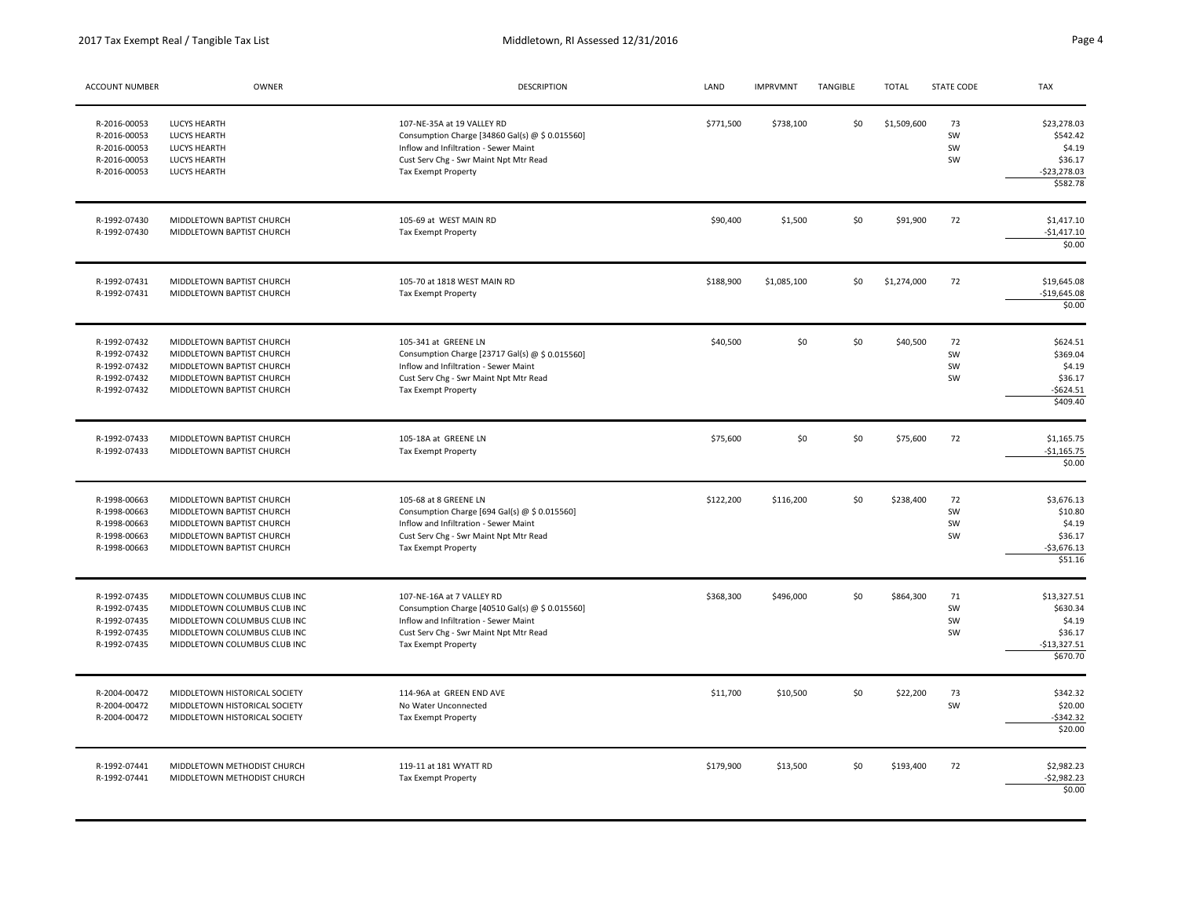2017 Tax Exempt Real / Tangible Tax List

| <b>ACCOUNT NUMBER</b>                                                        | OWNER                                                                                                                                                        | <b>DESCRIPTION</b>                                                                                                                                                                             | LAND      | <b>IMPRVMNT</b> | TANGIBLE | <b>TOTAL</b> | STATE CODE               | TAX                                                                       |
|------------------------------------------------------------------------------|--------------------------------------------------------------------------------------------------------------------------------------------------------------|------------------------------------------------------------------------------------------------------------------------------------------------------------------------------------------------|-----------|-----------------|----------|--------------|--------------------------|---------------------------------------------------------------------------|
| R-2016-00053<br>R-2016-00053<br>R-2016-00053<br>R-2016-00053<br>R-2016-00053 | <b>LUCYS HEARTH</b><br><b>LUCYS HEARTH</b><br><b>LUCYS HEARTH</b><br>LUCYS HEARTH<br>LUCYS HEARTH                                                            | 107-NE-35A at 19 VALLEY RD<br>Consumption Charge [34860 Gal(s) @ \$ 0.015560]<br>Inflow and Infiltration - Sewer Maint<br>Cust Serv Chg - Swr Maint Npt Mtr Read<br><b>Tax Exempt Property</b> | \$771,500 | \$738,100       | \$0      | \$1,509,600  | $73\,$<br>SW<br>SW<br>SW | \$23,278.03<br>\$542.42<br>\$4.19<br>\$36.17<br>$-523,278.03$<br>\$582.78 |
| R-1992-07430<br>R-1992-07430                                                 | MIDDLETOWN BAPTIST CHURCH<br>MIDDLETOWN BAPTIST CHURCH                                                                                                       | 105-69 at WEST MAIN RD<br>Tax Exempt Property                                                                                                                                                  | \$90,400  | \$1,500         | \$0      | \$91,900     | 72                       | \$1,417.10<br>$-$1,417.10$<br>\$0.00                                      |
| R-1992-07431<br>R-1992-07431                                                 | MIDDLETOWN BAPTIST CHURCH<br>MIDDLETOWN BAPTIST CHURCH                                                                                                       | 105-70 at 1818 WEST MAIN RD<br><b>Tax Exempt Property</b>                                                                                                                                      | \$188,900 | \$1,085,100     | \$0      | \$1,274,000  | 72                       | \$19,645.08<br>$-$19,645.08$<br>\$0.00                                    |
| R-1992-07432<br>R-1992-07432<br>R-1992-07432<br>R-1992-07432<br>R-1992-07432 | MIDDLETOWN BAPTIST CHURCH<br>MIDDLETOWN BAPTIST CHURCH<br>MIDDLETOWN BAPTIST CHURCH<br>MIDDLETOWN BAPTIST CHURCH<br>MIDDLETOWN BAPTIST CHURCH                | 105-341 at GREENE LN<br>Consumption Charge [23717 Gal(s) @ \$ 0.015560]<br>Inflow and Infiltration - Sewer Maint<br>Cust Serv Chg - Swr Maint Npt Mtr Read<br><b>Tax Exempt Property</b>       | \$40,500  | \$0             | \$0      | \$40,500     | 72<br>SW<br>SW<br>SW     | \$624.51<br>\$369.04<br>\$4.19<br>\$36.17<br>\$624.51<br>\$409.40         |
| R-1992-07433<br>R-1992-07433                                                 | MIDDLETOWN BAPTIST CHURCH<br>MIDDLETOWN BAPTIST CHURCH                                                                                                       | 105-18A at GREENE LN<br><b>Tax Exempt Property</b>                                                                                                                                             | \$75,600  | \$0             | \$0      | \$75,600     | 72                       | \$1,165.75<br>$-$1,165.75$<br>\$0.00                                      |
| R-1998-00663<br>R-1998-00663<br>R-1998-00663<br>R-1998-00663<br>R-1998-00663 | MIDDLETOWN BAPTIST CHURCH<br>MIDDLETOWN BAPTIST CHURCH<br>MIDDLETOWN BAPTIST CHURCH<br>MIDDLETOWN BAPTIST CHURCH<br>MIDDLETOWN BAPTIST CHURCH                | 105-68 at 8 GREENE LN<br>Consumption Charge [694 Gal(s) @ \$ 0.015560]<br>Inflow and Infiltration - Sewer Maint<br>Cust Serv Chg - Swr Maint Npt Mtr Read<br><b>Tax Exempt Property</b>        | \$122,200 | \$116,200       | \$0      | \$238,400    | 72<br>SW<br>SW<br>SW     | \$3,676.13<br>\$10.80<br>\$4.19<br>\$36.17<br>$-$ \$3,676.13<br>\$51.16   |
| R-1992-07435<br>R-1992-07435<br>R-1992-07435<br>R-1992-07435<br>R-1992-07435 | MIDDLETOWN COLUMBUS CLUB INC<br>MIDDLETOWN COLUMBUS CLUB INC<br>MIDDLETOWN COLUMBUS CLUB INC<br>MIDDLETOWN COLUMBUS CLUB INC<br>MIDDLETOWN COLUMBUS CLUB INC | 107-NE-16A at 7 VALLEY RD<br>Consumption Charge [40510 Gal(s) @ \$ 0.015560]<br>Inflow and Infiltration - Sewer Maint<br>Cust Serv Chg - Swr Maint Npt Mtr Read<br>Tax Exempt Property         | \$368,300 | \$496,000       | \$0      | \$864,300    | 71<br>SW<br>SW<br>SW     | \$13,327.51<br>\$630.34<br>\$4.19<br>\$36.17<br>$-$13,327.51$<br>\$670.70 |
| R-2004-00472<br>R-2004-00472<br>R-2004-00472                                 | MIDDLETOWN HISTORICAL SOCIETY<br>MIDDLETOWN HISTORICAL SOCIETY<br>MIDDLETOWN HISTORICAL SOCIETY                                                              | 114-96A at GREEN END AVE<br>No Water Unconnected<br>Tax Exempt Property                                                                                                                        | \$11,700  | \$10,500        | \$0      | \$22,200     | 73<br>SW                 | \$342.32<br>\$20.00<br>$-5342.32$<br>\$20.00                              |
| R-1992-07441<br>R-1992-07441                                                 | MIDDLETOWN METHODIST CHURCH<br>MIDDLETOWN METHODIST CHURCH                                                                                                   | 119-11 at 181 WYATT RD<br><b>Tax Exempt Property</b>                                                                                                                                           | \$179,900 | \$13,500        | \$0      | \$193,400    | 72                       | \$2,982.23<br>$-52,982.23$<br>\$0.00                                      |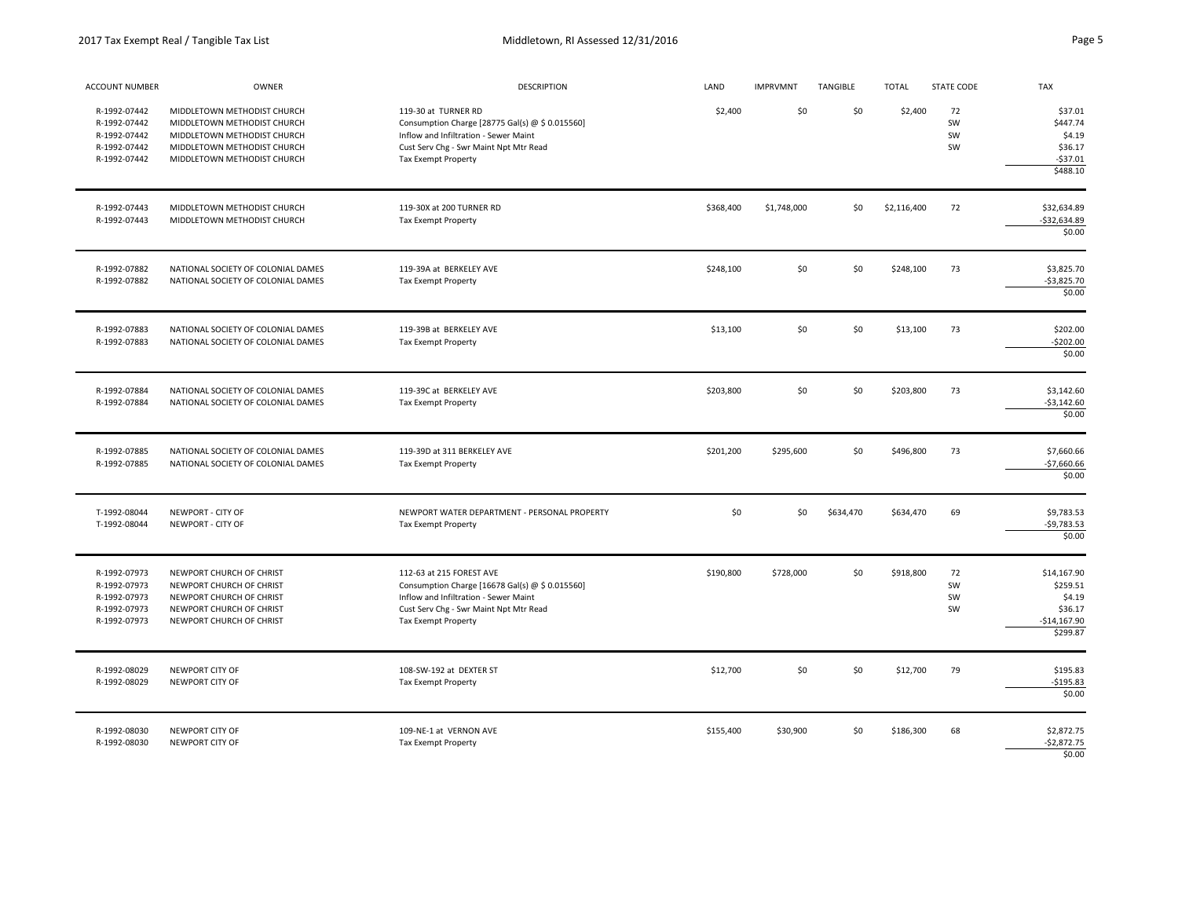| ACCOUNT NUMBER                                                               | OWNER                                                                                                                                                   | <b>DESCRIPTION</b>                                                                                                                                                                    | LAND      | <b>IMPRVMNT</b> | TANGIBLE  | <b>TOTAL</b> | STATE CODE           | <b>TAX</b>                                                                |
|------------------------------------------------------------------------------|---------------------------------------------------------------------------------------------------------------------------------------------------------|---------------------------------------------------------------------------------------------------------------------------------------------------------------------------------------|-----------|-----------------|-----------|--------------|----------------------|---------------------------------------------------------------------------|
| R-1992-07442<br>R-1992-07442<br>R-1992-07442<br>R-1992-07442<br>R-1992-07442 | MIDDLETOWN METHODIST CHURCH<br>MIDDLETOWN METHODIST CHURCH<br>MIDDLETOWN METHODIST CHURCH<br>MIDDLETOWN METHODIST CHURCH<br>MIDDLETOWN METHODIST CHURCH | 119-30 at TURNER RD<br>Consumption Charge [28775 Gal(s) @ \$ 0.015560]<br>Inflow and Infiltration - Sewer Maint<br>Cust Serv Chg - Swr Maint Npt Mtr Read<br>Tax Exempt Property      | \$2,400   | \$0             | \$0       | \$2,400      | 72<br>SW<br>SW<br>SW | \$37.01<br>\$447.74<br>\$4.19<br>\$36.17<br>$-537.01$<br>\$488.10         |
| R-1992-07443<br>R-1992-07443                                                 | MIDDLETOWN METHODIST CHURCH<br>MIDDLETOWN METHODIST CHURCH                                                                                              | 119-30X at 200 TURNER RD<br>Tax Exempt Property                                                                                                                                       | \$368,400 | \$1,748,000     | \$0       | \$2,116,400  | 72                   | \$32,634.89<br>$-532,634.89$<br>\$0.00                                    |
| R-1992-07882<br>R-1992-07882                                                 | NATIONAL SOCIETY OF COLONIAL DAMES<br>NATIONAL SOCIETY OF COLONIAL DAMES                                                                                | 119-39A at BERKELEY AVE<br>Tax Exempt Property                                                                                                                                        | \$248,100 | \$0             | \$0       | \$248,100    | 73                   | \$3,825.70<br>$-$3,825.70$<br>\$0.00                                      |
| R-1992-07883<br>R-1992-07883                                                 | NATIONAL SOCIETY OF COLONIAL DAMES<br>NATIONAL SOCIETY OF COLONIAL DAMES                                                                                | 119-39B at BERKELEY AVE<br>Tax Exempt Property                                                                                                                                        | \$13,100  | \$0             | \$0       | \$13,100     | 73                   | \$202.00<br>$-$202.00$<br>\$0.00                                          |
| R-1992-07884<br>R-1992-07884                                                 | NATIONAL SOCIETY OF COLONIAL DAMES<br>NATIONAL SOCIETY OF COLONIAL DAMES                                                                                | 119-39C at BERKELEY AVE<br><b>Tax Exempt Property</b>                                                                                                                                 | \$203,800 | \$0             | \$0       | \$203,800    | 73                   | \$3,142.60<br>$-$3,142.60$<br>\$0.00                                      |
| R-1992-07885<br>R-1992-07885                                                 | NATIONAL SOCIETY OF COLONIAL DAMES<br>NATIONAL SOCIETY OF COLONIAL DAMES                                                                                | 119-39D at 311 BERKELEY AVE<br>Tax Exempt Property                                                                                                                                    | \$201,200 | \$295,600       | \$0       | \$496,800    | 73                   | \$7,660.66<br>$-$7,660.66$<br>\$0.00                                      |
| T-1992-08044<br>T-1992-08044                                                 | NEWPORT - CITY OF<br>NEWPORT - CITY OF                                                                                                                  | NEWPORT WATER DEPARTMENT - PERSONAL PROPERTY<br>Tax Exempt Property                                                                                                                   | \$0       | \$0             | \$634,470 | \$634,470    | 69                   | \$9,783.53<br>$-59,783.53$<br>\$0.00                                      |
| R-1992-07973<br>R-1992-07973<br>R-1992-07973<br>R-1992-07973<br>R-1992-07973 | NEWPORT CHURCH OF CHRIST<br>NEWPORT CHURCH OF CHRIST<br>NEWPORT CHURCH OF CHRIST<br>NEWPORT CHURCH OF CHRIST<br>NEWPORT CHURCH OF CHRIST                | 112-63 at 215 FOREST AVE<br>Consumption Charge [16678 Gal(s) @ \$ 0.015560]<br>Inflow and Infiltration - Sewer Maint<br>Cust Serv Chg - Swr Maint Npt Mtr Read<br>Tax Exempt Property | \$190,800 | \$728,000       | \$0       | \$918,800    | 72<br>SW<br>SW<br>SW | \$14,167.90<br>\$259.51<br>\$4.19<br>\$36.17<br>$-$14,167.90$<br>\$299.87 |
| R-1992-08029<br>R-1992-08029                                                 | NEWPORT CITY OF<br>NEWPORT CITY OF                                                                                                                      | 108-SW-192 at DEXTER ST<br>Tax Exempt Property                                                                                                                                        | \$12,700  | \$0             | \$0       | \$12,700     | 79                   | \$195.83<br>$-5195.83$<br>\$0.00                                          |
| R-1992-08030<br>R-1992-08030                                                 | NEWPORT CITY OF<br>NEWPORT CITY OF                                                                                                                      | 109-NE-1 at VERNON AVE<br>Tax Exempt Property                                                                                                                                         | \$155,400 | \$30,900        | \$0       | \$186,300    | 68                   | \$2,872.75<br>$-$2,872.75$<br>\$0.00                                      |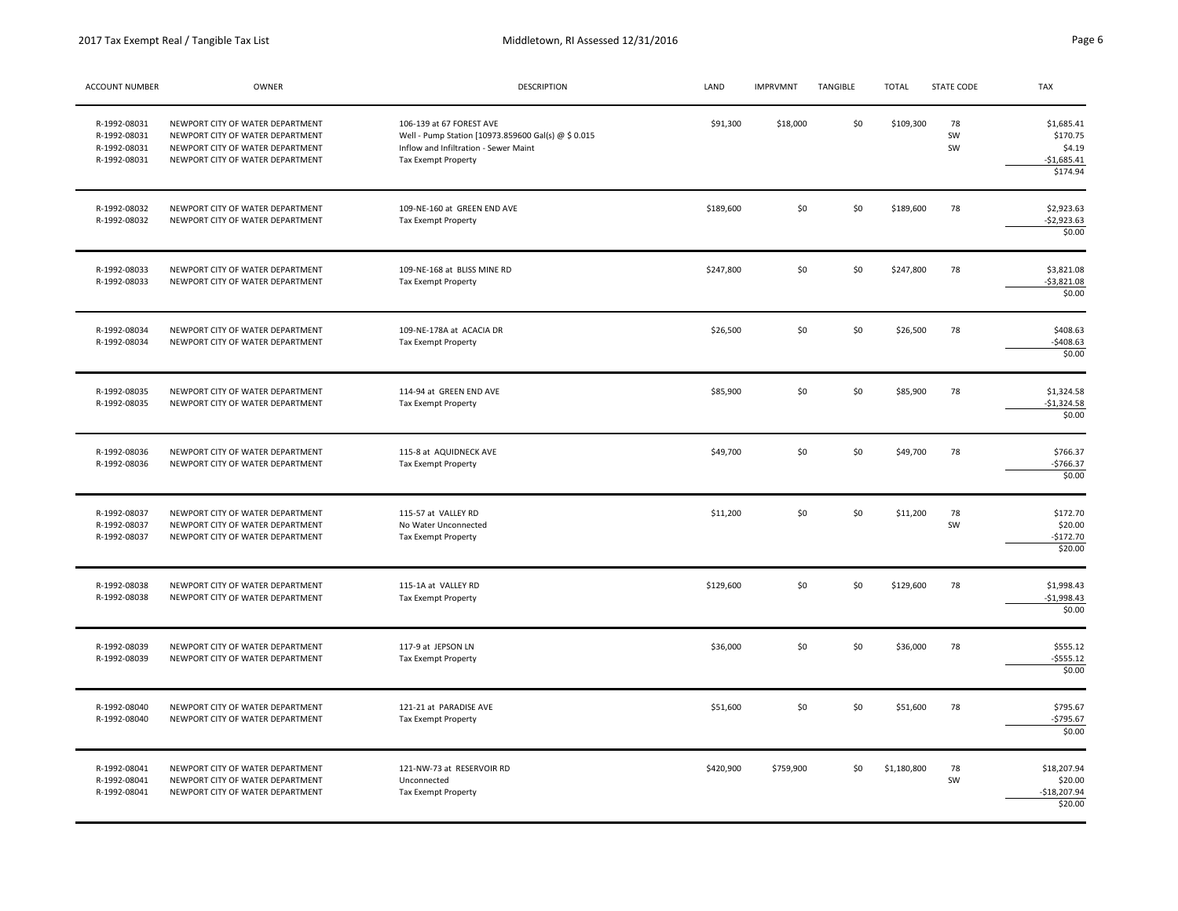| ACCOUNT NUMBER                                               | OWNER                                                                                                                                        | DESCRIPTION                                                                                                                                     | LAND      | <b>IMPRVMNT</b> | TANGIBLE | <b>TOTAL</b> | <b>STATE CODE</b> | TAX                                                          |
|--------------------------------------------------------------|----------------------------------------------------------------------------------------------------------------------------------------------|-------------------------------------------------------------------------------------------------------------------------------------------------|-----------|-----------------|----------|--------------|-------------------|--------------------------------------------------------------|
| R-1992-08031<br>R-1992-08031<br>R-1992-08031<br>R-1992-08031 | NEWPORT CITY OF WATER DEPARTMENT<br>NEWPORT CITY OF WATER DEPARTMENT<br>NEWPORT CITY OF WATER DEPARTMENT<br>NEWPORT CITY OF WATER DEPARTMENT | 106-139 at 67 FOREST AVE<br>Well - Pump Station [10973.859600 Gal(s) @ \$ 0.015<br>Inflow and Infiltration - Sewer Maint<br>Tax Exempt Property | \$91,300  | \$18,000        | \$0      | \$109,300    | 78<br>SW<br>SW    | \$1,685.41<br>\$170.75<br>\$4.19<br>$-$1,685.41$<br>\$174.94 |
| R-1992-08032<br>R-1992-08032                                 | NEWPORT CITY OF WATER DEPARTMENT<br>NEWPORT CITY OF WATER DEPARTMENT                                                                         | 109-NE-160 at GREEN END AVE<br>Tax Exempt Property                                                                                              | \$189,600 | \$0             | \$0      | \$189,600    | 78                | \$2,923.63<br>$-$2,923.63$<br>\$0.00                         |
| R-1992-08033<br>R-1992-08033                                 | NEWPORT CITY OF WATER DEPARTMENT<br>NEWPORT CITY OF WATER DEPARTMENT                                                                         | 109-NE-168 at BLISS MINE RD<br>Tax Exempt Property                                                                                              | \$247,800 | \$0             | \$0      | \$247,800    | 78                | \$3,821.08<br>$-53,821.08$<br>\$0.00                         |
| R-1992-08034<br>R-1992-08034                                 | NEWPORT CITY OF WATER DEPARTMENT<br>NEWPORT CITY OF WATER DEPARTMENT                                                                         | 109-NE-178A at ACACIA DR<br><b>Tax Exempt Property</b>                                                                                          | \$26,500  | \$0             | \$0      | \$26,500     | 78                | \$408.63<br>$-5408.63$<br>\$0.00                             |
| R-1992-08035<br>R-1992-08035                                 | NEWPORT CITY OF WATER DEPARTMENT<br>NEWPORT CITY OF WATER DEPARTMENT                                                                         | 114-94 at GREEN END AVE<br>Tax Exempt Property                                                                                                  | \$85,900  | \$0             | \$0      | \$85,900     | 78                | \$1,324.58<br>$-$1,324.58$<br>\$0.00                         |
| R-1992-08036<br>R-1992-08036                                 | NEWPORT CITY OF WATER DEPARTMENT<br>NEWPORT CITY OF WATER DEPARTMENT                                                                         | 115-8 at AQUIDNECK AVE<br>Tax Exempt Property                                                                                                   | \$49,700  | \$0             | \$0      | \$49,700     | 78                | \$766.37<br>$-$766.37$<br>\$0.00                             |
| R-1992-08037<br>R-1992-08037<br>R-1992-08037                 | NEWPORT CITY OF WATER DEPARTMENT<br>NEWPORT CITY OF WATER DEPARTMENT<br>NEWPORT CITY OF WATER DEPARTMENT                                     | 115-57 at VALLEY RD<br>No Water Unconnected<br><b>Tax Exempt Property</b>                                                                       | \$11,200  | \$0             | \$0      | \$11,200     | 78<br>SW          | \$172.70<br>\$20.00<br>$-$172.70$<br>\$20.00                 |
| R-1992-08038<br>R-1992-08038                                 | NEWPORT CITY OF WATER DEPARTMENT<br>NEWPORT CITY OF WATER DEPARTMENT                                                                         | 115-1A at VALLEY RD<br>Tax Exempt Property                                                                                                      | \$129,600 | \$0             | \$0      | \$129,600    | 78                | \$1,998.43<br>$-$1,998.43$<br>\$0.00                         |
| R-1992-08039<br>R-1992-08039                                 | NEWPORT CITY OF WATER DEPARTMENT<br>NEWPORT CITY OF WATER DEPARTMENT                                                                         | 117-9 at JEPSON LN<br>Tax Exempt Property                                                                                                       | \$36,000  | \$0             | \$0      | \$36,000     | 78                | \$555.12<br>$- $555.12$<br>\$0.00                            |
| R-1992-08040<br>R-1992-08040                                 | NEWPORT CITY OF WATER DEPARTMENT<br>NEWPORT CITY OF WATER DEPARTMENT                                                                         | 121-21 at PARADISE AVE<br>Tax Exempt Property                                                                                                   | \$51,600  | \$0             | \$0      | \$51,600     | 78                | \$795.67<br>$-5795.67$<br>\$0.00                             |
| R-1992-08041<br>R-1992-08041<br>R-1992-08041                 | NEWPORT CITY OF WATER DEPARTMENT<br>NEWPORT CITY OF WATER DEPARTMENT<br>NEWPORT CITY OF WATER DEPARTMENT                                     | 121-NW-73 at RESERVOIR RD<br>Unconnected<br>Tax Exempt Property                                                                                 | \$420,900 | \$759,900       | \$0      | \$1,180,800  | 78<br>SW          | \$18,207.94<br>\$20.00<br>$-$18,207.94$<br>\$20.00           |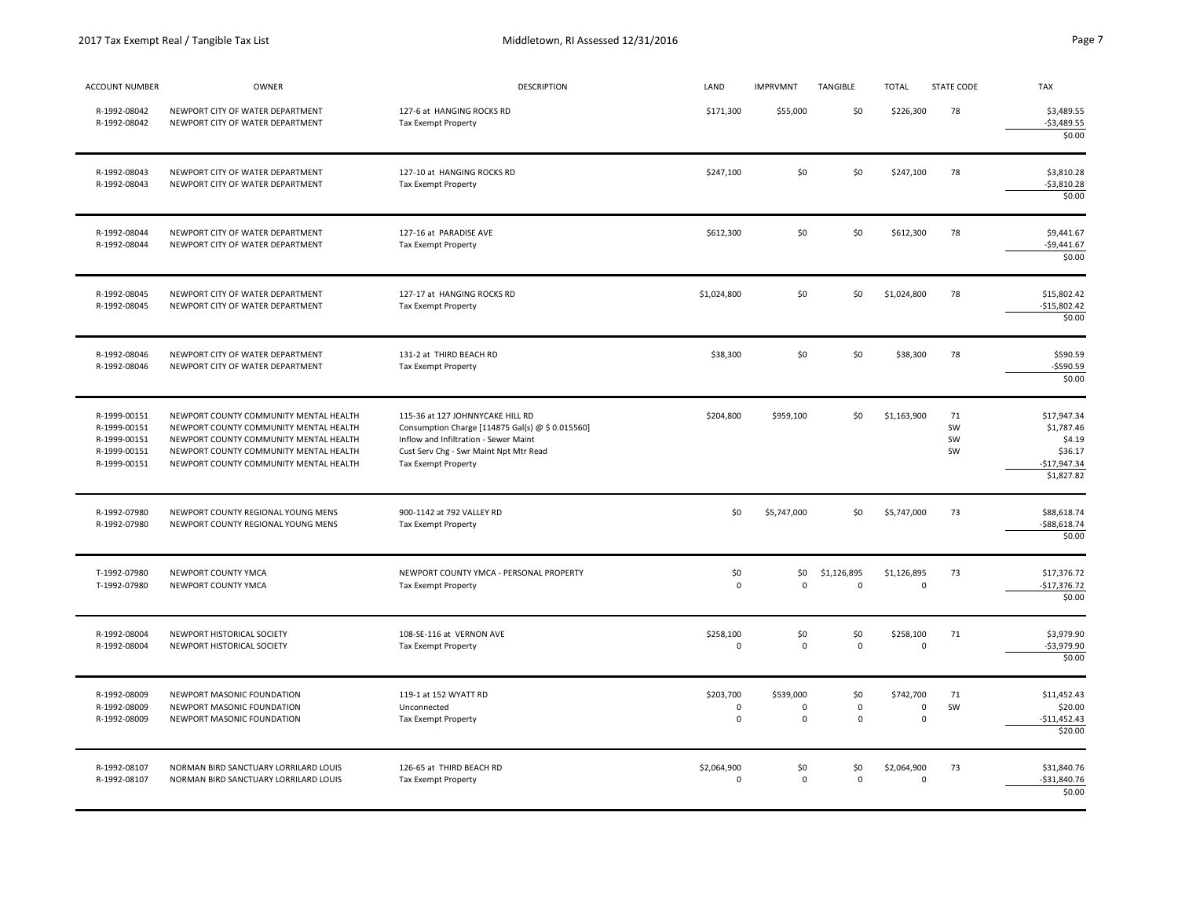|--|

| <b>ACCOUNT NUMBER</b>                                                        | OWNER                                                                                                                                                                                                          | <b>DESCRIPTION</b>                                                                                                                                                                                    | LAND                                  | <b>IMPRVMNT</b>                   | TANGIBLE                                  | <b>TOTAL</b>                            | <b>STATE CODE</b>    | <b>TAX</b>                                                                    |
|------------------------------------------------------------------------------|----------------------------------------------------------------------------------------------------------------------------------------------------------------------------------------------------------------|-------------------------------------------------------------------------------------------------------------------------------------------------------------------------------------------------------|---------------------------------------|-----------------------------------|-------------------------------------------|-----------------------------------------|----------------------|-------------------------------------------------------------------------------|
| R-1992-08042<br>R-1992-08042                                                 | NEWPORT CITY OF WATER DEPARTMENT<br>NEWPORT CITY OF WATER DEPARTMENT                                                                                                                                           | 127-6 at HANGING ROCKS RD<br>Tax Exempt Property                                                                                                                                                      | \$171,300                             | \$55,000                          | \$0                                       | \$226,300                               | 78                   | \$3,489.55<br>$-53,489.55$<br>\$0.00                                          |
| R-1992-08043<br>R-1992-08043                                                 | NEWPORT CITY OF WATER DEPARTMENT<br>NEWPORT CITY OF WATER DEPARTMENT                                                                                                                                           | 127-10 at HANGING ROCKS RD<br><b>Tax Exempt Property</b>                                                                                                                                              | \$247,100                             | \$0                               | 50                                        | \$247,100                               | 78                   | \$3,810.28<br>$-53,810.28$<br>\$0.00                                          |
| R-1992-08044<br>R-1992-08044                                                 | NEWPORT CITY OF WATER DEPARTMENT<br>NEWPORT CITY OF WATER DEPARTMENT                                                                                                                                           | 127-16 at PARADISE AVE<br>Tax Exempt Property                                                                                                                                                         | \$612,300                             | \$0                               | \$0                                       | \$612,300                               | 78                   | \$9,441.67<br>$-$9,441.67$<br>\$0.00                                          |
| R-1992-08045<br>R-1992-08045                                                 | NEWPORT CITY OF WATER DEPARTMENT<br>NEWPORT CITY OF WATER DEPARTMENT                                                                                                                                           | 127-17 at HANGING ROCKS RD<br>Tax Exempt Property                                                                                                                                                     | \$1,024,800                           | \$0                               | \$0                                       | \$1,024,800                             | 78                   | \$15,802.42<br>$-515,802.42$<br>\$0.00                                        |
| R-1992-08046<br>R-1992-08046                                                 | NEWPORT CITY OF WATER DEPARTMENT<br>NEWPORT CITY OF WATER DEPARTMENT                                                                                                                                           | 131-2 at THIRD BEACH RD<br><b>Tax Exempt Property</b>                                                                                                                                                 | \$38,300                              | \$0                               | \$0                                       | \$38,300                                | 78                   | \$590.59<br>$-$590.59$<br>\$0.00                                              |
| R-1999-00151<br>R-1999-00151<br>R-1999-00151<br>R-1999-00151<br>R-1999-00151 | NEWPORT COUNTY COMMUNITY MENTAL HEALTH<br>NEWPORT COUNTY COMMUNITY MENTAL HEALTH<br>NEWPORT COUNTY COMMUNITY MENTAL HEALTH<br>NEWPORT COUNTY COMMUNITY MENTAL HEALTH<br>NEWPORT COUNTY COMMUNITY MENTAL HEALTH | 115-36 at 127 JOHNNYCAKE HILL RD<br>Consumption Charge [114875 Gal(s) @ \$ 0.015560]<br>Inflow and Infiltration - Sewer Maint<br>Cust Serv Chg - Swr Maint Npt Mtr Read<br><b>Tax Exempt Property</b> | \$204,800                             | \$959,100                         | \$0                                       | \$1,163,900                             | 71<br>SW<br>SW<br>SW | \$17,947.34<br>\$1,787.46<br>\$4.19<br>\$36.17<br>$-$17,947.34$<br>\$1,827.82 |
| R-1992-07980<br>R-1992-07980                                                 | NEWPORT COUNTY REGIONAL YOUNG MENS<br>NEWPORT COUNTY REGIONAL YOUNG MENS                                                                                                                                       | 900-1142 at 792 VALLEY RD<br><b>Tax Exempt Property</b>                                                                                                                                               | \$0                                   | \$5,747,000                       | \$0                                       | \$5,747,000                             | 73                   | \$88,618.74<br>$-$ \$88,618.74<br>\$0.00                                      |
| T-1992-07980<br>T-1992-07980                                                 | NEWPORT COUNTY YMCA<br>NEWPORT COUNTY YMCA                                                                                                                                                                     | NEWPORT COUNTY YMCA - PERSONAL PROPERTY<br><b>Tax Exempt Property</b>                                                                                                                                 | \$0<br>$\pmb{0}$                      | \$0<br>$\mathbf 0$                | \$1,126,895<br>$\mathsf{O}\xspace$        | \$1,126,895<br>$\pmb{0}$                | 73                   | \$17,376.72<br>$-$17,376.72$<br>\$0.00                                        |
| R-1992-08004<br>R-1992-08004                                                 | NEWPORT HISTORICAL SOCIETY<br>NEWPORT HISTORICAL SOCIETY                                                                                                                                                       | 108-SE-116 at VERNON AVE<br>Tax Exempt Property                                                                                                                                                       | \$258,100<br>$\Omega$                 | \$0<br>$\mathbf 0$                | \$0<br>$\mathsf 0$                        | \$258,100<br>$\mathbf 0$                | 71                   | \$3,979.90<br>$-$3,979.90$<br>\$0.00                                          |
| R-1992-08009<br>R-1992-08009<br>R-1992-08009                                 | NEWPORT MASONIC FOUNDATION<br>NEWPORT MASONIC FOUNDATION<br>NEWPORT MASONIC FOUNDATION                                                                                                                         | 119-1 at 152 WYATT RD<br>Unconnected<br>Tax Exempt Property                                                                                                                                           | \$203,700<br>$\pmb{0}$<br>$\mathbf 0$ | \$539,000<br>$\Omega$<br>$\Omega$ | \$0<br>$\mathsf 0$<br>$\mathsf{O}\xspace$ | \$742,700<br>$\mathbf 0$<br>$\mathbf 0$ | 71<br>SW             | \$11,452.43<br>\$20.00<br>$-$11,452.43$<br>\$20.00                            |
| R-1992-08107<br>R-1992-08107                                                 | NORMAN BIRD SANCTUARY LORRILARD LOUIS<br>NORMAN BIRD SANCTUARY LORRILARD LOUIS                                                                                                                                 | 126-65 at THIRD BEACH RD<br>Tax Exempt Property                                                                                                                                                       | \$2,064,900<br>$\Omega$               | \$0<br>$\mathbf 0$                | \$0<br>$\mathbf 0$                        | \$2,064,900<br>$\mathbf 0$              | 73                   | \$31,840.76<br>$-531,840.76$<br>\$0.00                                        |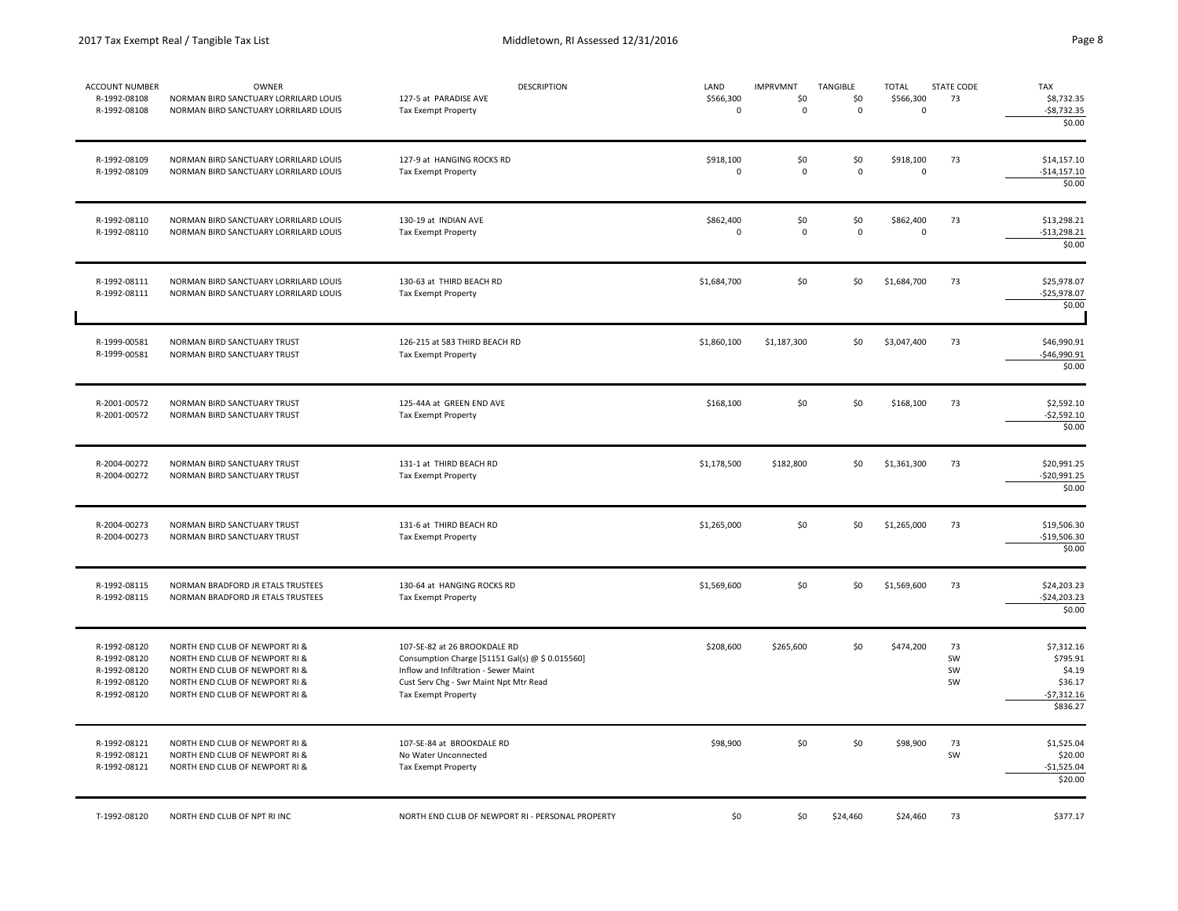| ACCOUNT NUMBER<br>R-1992-08108<br>R-1992-08108                               | OWNER<br>NORMAN BIRD SANCTUARY LORRILARD LOUIS<br>NORMAN BIRD SANCTUARY LORRILARD LOUIS                                                                                | <b>DESCRIPTION</b><br>127-5 at PARADISE AVE<br>Tax Exempt Property                                                                                                                        | LAND<br>\$566,300<br>$\mathbf 0$ | <b>IMPRVMNT</b><br>\$0<br>$\mathbf 0$ | <b>TANGIBLE</b><br>\$0<br>0 | <b>TOTAL</b><br>\$566,300<br>$\mathbf 0$ | STATE CODE<br>73     | <b>TAX</b><br>\$8,732.35<br>$-58,732.35$<br>\$0.00                      |
|------------------------------------------------------------------------------|------------------------------------------------------------------------------------------------------------------------------------------------------------------------|-------------------------------------------------------------------------------------------------------------------------------------------------------------------------------------------|----------------------------------|---------------------------------------|-----------------------------|------------------------------------------|----------------------|-------------------------------------------------------------------------|
| R-1992-08109<br>R-1992-08109                                                 | NORMAN BIRD SANCTUARY LORRILARD LOUIS<br>NORMAN BIRD SANCTUARY LORRILARD LOUIS                                                                                         | 127-9 at HANGING ROCKS RD<br>Tax Exempt Property                                                                                                                                          | \$918,100<br>$\mathbf 0$         | \$0<br>$\mathbf 0$                    | \$0<br>$\mathbf 0$          | \$918,100<br>$\mathbf 0$                 | 73                   | \$14,157.10<br>$-$14,157.10$<br>\$0.00                                  |
| R-1992-08110<br>R-1992-08110                                                 | NORMAN BIRD SANCTUARY LORRILARD LOUIS<br>NORMAN BIRD SANCTUARY LORRILARD LOUIS                                                                                         | 130-19 at INDIAN AVE<br>Tax Exempt Property                                                                                                                                               | \$862,400<br>0                   | \$0<br>$\pmb{0}$                      | \$0<br>$\mathsf 0$          | \$862,400<br>$\mathbf 0$                 | 73                   | \$13,298.21<br>$-$13,298.21$<br>\$0.00                                  |
| R-1992-08111<br>R-1992-08111                                                 | NORMAN BIRD SANCTUARY LORRILARD LOUIS<br>NORMAN BIRD SANCTUARY LORRILARD LOUIS                                                                                         | 130-63 at THIRD BEACH RD<br><b>Tax Exempt Property</b>                                                                                                                                    | \$1,684,700                      | \$0                                   | \$0                         | \$1,684,700                              | 73                   | \$25,978.07<br>$-$25,978.07$<br>\$0.00                                  |
| R-1999-00581<br>R-1999-00581                                                 | NORMAN BIRD SANCTUARY TRUST<br>NORMAN BIRD SANCTUARY TRUST                                                                                                             | 126-215 at 583 THIRD BEACH RD<br>Tax Exempt Property                                                                                                                                      | \$1,860,100                      | \$1,187,300                           | \$0                         | \$3,047,400                              | 73                   | \$46,990.91<br>-\$46,990.91<br>\$0.00                                   |
| R-2001-00572<br>R-2001-00572                                                 | NORMAN BIRD SANCTUARY TRUST<br>NORMAN BIRD SANCTUARY TRUST                                                                                                             | 125-44A at GREEN END AVE<br>Tax Exempt Property                                                                                                                                           | \$168,100                        | \$0                                   | \$0                         | \$168,100                                | 73                   | \$2,592.10<br>$-$2,592.10$<br>\$0.00                                    |
| R-2004-00272<br>R-2004-00272                                                 | NORMAN BIRD SANCTUARY TRUST<br>NORMAN BIRD SANCTUARY TRUST                                                                                                             | 131-1 at THIRD BEACH RD<br>Tax Exempt Property                                                                                                                                            | \$1,178,500                      | \$182,800                             | \$0                         | \$1,361,300                              | 73                   | \$20,991.25<br>\$20,991.25<br>\$0.00                                    |
| R-2004-00273<br>R-2004-00273                                                 | NORMAN BIRD SANCTUARY TRUST<br>NORMAN BIRD SANCTUARY TRUST                                                                                                             | 131-6 at THIRD BEACH RD<br>Tax Exempt Property                                                                                                                                            | \$1,265,000                      | \$0                                   | \$0                         | \$1,265,000                              | 73                   | \$19,506.30<br>$-$19,506.30$<br>\$0.00                                  |
| R-1992-08115<br>R-1992-08115                                                 | NORMAN BRADFORD JR ETALS TRUSTEES<br>NORMAN BRADFORD JR ETALS TRUSTEES                                                                                                 | 130-64 at HANGING ROCKS RD<br>Tax Exempt Property                                                                                                                                         | \$1,569,600                      | \$0                                   | \$0                         | \$1,569,600                              | 73                   | \$24,203.23<br>$-524,203.23$<br>\$0.00                                  |
| R-1992-08120<br>R-1992-08120<br>R-1992-08120<br>R-1992-08120<br>R-1992-08120 | NORTH END CLUB OF NEWPORT RI &<br>NORTH END CLUB OF NEWPORT RI &<br>NORTH END CLUB OF NEWPORT RI &<br>NORTH END CLUB OF NEWPORT RI &<br>NORTH END CLUB OF NEWPORT RI & | 107-SE-82 at 26 BROOKDALE RD<br>Consumption Charge [51151 Gal(s) @ \$ 0.015560]<br>Inflow and Infiltration - Sewer Maint<br>Cust Serv Chg - Swr Maint Npt Mtr Read<br>Tax Exempt Property | \$208,600                        | \$265,600                             | \$0                         | \$474,200                                | 73<br>SW<br>SW<br>SW | \$7,312.16<br>\$795.91<br>\$4.19<br>\$36.17<br>$-57,312.16$<br>\$836.27 |
| R-1992-08121<br>R-1992-08121<br>R-1992-08121                                 | NORTH END CLUB OF NEWPORT RI &<br>NORTH END CLUB OF NEWPORT RI &<br>NORTH END CLUB OF NEWPORT RI &                                                                     | 107-SE-84 at BROOKDALE RD<br>No Water Unconnected<br>Tax Exempt Property                                                                                                                  | \$98,900                         | \$0                                   | \$0                         | \$98,900                                 | 73<br>SW             | \$1,525.04<br>\$20.00<br>$-$1,525.04$<br>\$20.00                        |
| T-1992-08120                                                                 | NORTH END CLUB OF NPT RI INC                                                                                                                                           | NORTH END CLUB OF NEWPORT RI - PERSONAL PROPERTY                                                                                                                                          | \$0                              | \$0                                   | \$24,460                    | \$24,460                                 | 73                   | \$377.17                                                                |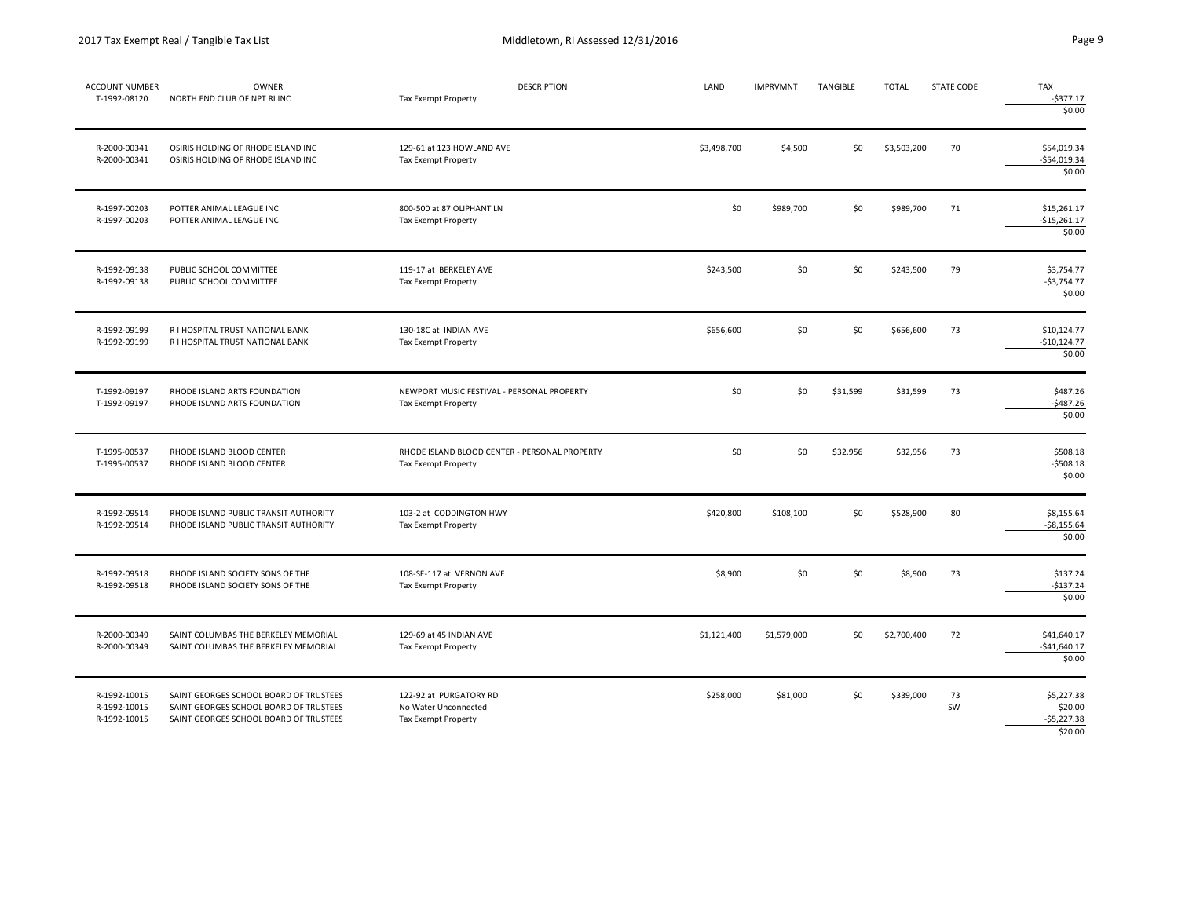| <b>ACCOUNT NUMBER</b><br>T-1992-08120        | <b>OWNER</b><br>NORTH END CLUB OF NPT RI INC                                                                               | <b>DESCRIPTION</b><br>Tax Exempt Property                             | LAND        | <b>IMPRVMNT</b> | TANGIBLE | <b>TOTAL</b> | STATE CODE | <b>TAX</b><br>$-5377.17$<br>\$0.00               |
|----------------------------------------------|----------------------------------------------------------------------------------------------------------------------------|-----------------------------------------------------------------------|-------------|-----------------|----------|--------------|------------|--------------------------------------------------|
| R-2000-00341<br>R-2000-00341                 | OSIRIS HOLDING OF RHODE ISLAND INC<br>OSIRIS HOLDING OF RHODE ISLAND INC                                                   | 129-61 at 123 HOWLAND AVE<br>Tax Exempt Property                      | \$3,498,700 | \$4,500         | \$0      | \$3,503,200  | 70         | \$54,019.34<br>$-$54,019.34$<br>\$0.00           |
| R-1997-00203<br>R-1997-00203                 | POTTER ANIMAL LEAGUE INC<br>POTTER ANIMAL LEAGUE INC                                                                       | 800-500 at 87 OLIPHANT LN<br>Tax Exempt Property                      | \$0         | \$989,700       | \$0      | \$989,700    | 71         | \$15,261.17<br>$-$15,261.17$<br>\$0.00           |
| R-1992-09138<br>R-1992-09138                 | PUBLIC SCHOOL COMMITTEE<br>PUBLIC SCHOOL COMMITTEE                                                                         | 119-17 at BERKELEY AVE<br>Tax Exempt Property                         | \$243,500   | \$0             | \$0      | \$243,500    | 79         | \$3,754.77<br>$-53,754.77$<br>\$0.00             |
| R-1992-09199<br>R-1992-09199                 | R I HOSPITAL TRUST NATIONAL BANK<br>R I HOSPITAL TRUST NATIONAL BANK                                                       | 130-18C at INDIAN AVE<br>Tax Exempt Property                          | \$656,600   | \$0             | \$0      | \$656,600    | 73         | \$10,124.77<br>$-$10,124.77$<br>\$0.00           |
| T-1992-09197<br>T-1992-09197                 | RHODE ISLAND ARTS FOUNDATION<br>RHODE ISLAND ARTS FOUNDATION                                                               | NEWPORT MUSIC FESTIVAL - PERSONAL PROPERTY<br>Tax Exempt Property     | \$0         | \$0             | \$31,599 | \$31,599     | 73         | \$487.26<br>$-5487.26$<br>\$0.00                 |
| T-1995-00537<br>T-1995-00537                 | RHODE ISLAND BLOOD CENTER<br>RHODE ISLAND BLOOD CENTER                                                                     | RHODE ISLAND BLOOD CENTER - PERSONAL PROPERTY<br>Tax Exempt Property  | \$0         | \$0             | \$32,956 | \$32,956     | 73         | \$508.18<br>$-5508.18$<br>\$0.00                 |
| R-1992-09514<br>R-1992-09514                 | RHODE ISLAND PUBLIC TRANSIT AUTHORITY<br>RHODE ISLAND PUBLIC TRANSIT AUTHORITY                                             | 103-2 at CODDINGTON HWY<br>Tax Exempt Property                        | \$420,800   | \$108,100       | \$0      | \$528,900    | 80         | \$8,155.64<br>$-58,155.64$<br>\$0.00             |
| R-1992-09518<br>R-1992-09518                 | RHODE ISLAND SOCIETY SONS OF THE<br>RHODE ISLAND SOCIETY SONS OF THE                                                       | 108-SE-117 at VERNON AVE<br>Tax Exempt Property                       | \$8,900     | \$0             | \$0      | \$8,900      | 73         | \$137.24<br>$-$137.24$<br>\$0.00                 |
| R-2000-00349<br>R-2000-00349                 | SAINT COLUMBAS THE BERKELEY MEMORIAL<br>SAINT COLUMBAS THE BERKELEY MEMORIAL                                               | 129-69 at 45 INDIAN AVE<br>Tax Exempt Property                        | \$1,121,400 | \$1,579,000     | \$0      | \$2,700,400  | 72         | \$41,640.17<br>$-$41,640.17$<br>\$0.00           |
| R-1992-10015<br>R-1992-10015<br>R-1992-10015 | SAINT GEORGES SCHOOL BOARD OF TRUSTEES<br>SAINT GEORGES SCHOOL BOARD OF TRUSTEES<br>SAINT GEORGES SCHOOL BOARD OF TRUSTEES | 122-92 at PURGATORY RD<br>No Water Unconnected<br>Tax Exempt Property | \$258,000   | \$81,000        | \$0      | \$339,000    | 73<br>SW   | \$5,227.38<br>\$20.00<br>$-55,227.38$<br>\$20.00 |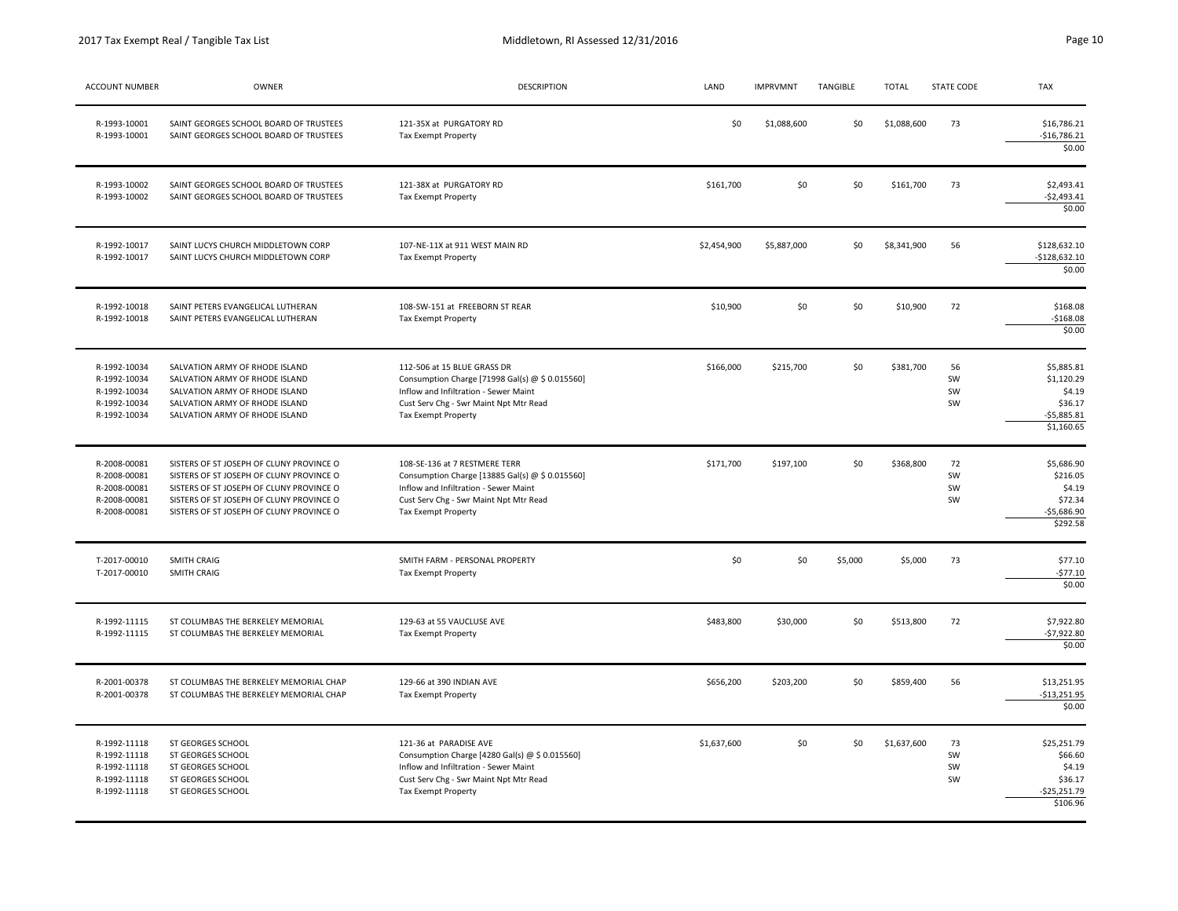| <b>ACCOUNT NUMBER</b>                                                        | <b>OWNER</b>                                                                                                                                                                                                             | DESCRIPTION                                                                                                                                                                                | LAND        | <b>IMPRVMNT</b> | TANGIBLE | TOTAL       | <b>STATE CODE</b>    | <b>TAX</b>                                                                  |
|------------------------------------------------------------------------------|--------------------------------------------------------------------------------------------------------------------------------------------------------------------------------------------------------------------------|--------------------------------------------------------------------------------------------------------------------------------------------------------------------------------------------|-------------|-----------------|----------|-------------|----------------------|-----------------------------------------------------------------------------|
| R-1993-10001<br>R-1993-10001                                                 | SAINT GEORGES SCHOOL BOARD OF TRUSTEES<br>SAINT GEORGES SCHOOL BOARD OF TRUSTEES                                                                                                                                         | 121-35X at PURGATORY RD<br>Tax Exempt Property                                                                                                                                             | \$0         | \$1,088,600     | \$0      | \$1,088,600 | 73                   | \$16,786.21<br>$-$16,786.21$<br>\$0.00                                      |
| R-1993-10002<br>R-1993-10002                                                 | SAINT GEORGES SCHOOL BOARD OF TRUSTEES<br>SAINT GEORGES SCHOOL BOARD OF TRUSTEES                                                                                                                                         | 121-38X at PURGATORY RD<br>Tax Exempt Property                                                                                                                                             | \$161,700   | \$0             | \$0      | \$161,700   | 73                   | \$2,493.41<br>$-$2,493.41$<br>\$0.00                                        |
| R-1992-10017<br>R-1992-10017                                                 | SAINT LUCYS CHURCH MIDDLETOWN CORP<br>SAINT LUCYS CHURCH MIDDLETOWN CORP                                                                                                                                                 | 107-NE-11X at 911 WEST MAIN RD<br>Tax Exempt Property                                                                                                                                      | \$2,454,900 | \$5,887,000     | \$0      | \$8,341,900 | 56                   | \$128,632.10<br>$-$128,632.10$<br>\$0.00                                    |
| R-1992-10018<br>R-1992-10018                                                 | SAINT PETERS EVANGELICAL LUTHERAN<br>SAINT PETERS EVANGELICAL LUTHERAN                                                                                                                                                   | 108-SW-151 at FREEBORN ST REAR<br>Tax Exempt Property                                                                                                                                      | \$10,900    | 50              | 50       | \$10,900    | 72                   | \$168.08<br>$-5168.08$<br>\$0.00                                            |
| R-1992-10034<br>R-1992-10034<br>R-1992-10034<br>R-1992-10034<br>R-1992-10034 | SALVATION ARMY OF RHODE ISLAND<br>SALVATION ARMY OF RHODE ISLAND<br>SALVATION ARMY OF RHODE ISLAND<br>SALVATION ARMY OF RHODE ISLAND<br>SALVATION ARMY OF RHODE ISLAND                                                   | 112-506 at 15 BLUE GRASS DR<br>Consumption Charge [71998 Gal(s) @ \$ 0.015560]<br>Inflow and Infiltration - Sewer Maint<br>Cust Serv Chg - Swr Maint Npt Mtr Read<br>Tax Exempt Property   | \$166,000   | \$215,700       | 50       | \$381,700   | 56<br>SW<br>SW<br>SW | \$5,885.81<br>\$1,120.29<br>\$4.19<br>\$36.17<br>$-55,885.81$<br>\$1,160.65 |
| R-2008-00081<br>R-2008-00081<br>R-2008-00081<br>R-2008-00081<br>R-2008-00081 | SISTERS OF ST JOSEPH OF CLUNY PROVINCE O<br>SISTERS OF ST JOSEPH OF CLUNY PROVINCE O<br>SISTERS OF ST JOSEPH OF CLUNY PROVINCE O<br>SISTERS OF ST JOSEPH OF CLUNY PROVINCE O<br>SISTERS OF ST JOSEPH OF CLUNY PROVINCE O | 108-SE-136 at 7 RESTMERE TERR<br>Consumption Charge [13885 Gal(s) @ \$ 0.015560]<br>Inflow and Infiltration - Sewer Maint<br>Cust Serv Chg - Swr Maint Npt Mtr Read<br>Tax Exempt Property | \$171,700   | \$197,100       | \$0      | \$368,800   | 72<br>SW<br>SW<br>SW | \$5,686.90<br>\$216.05<br>\$4.19<br>\$72.34<br>$-55,686.90$<br>\$292.58     |
| T-2017-00010<br>T-2017-00010                                                 | SMITH CRAIG<br>SMITH CRAIG                                                                                                                                                                                               | SMITH FARM - PERSONAL PROPERTY<br>Tax Exempt Property                                                                                                                                      | \$0         | \$0             | \$5,000  | \$5,000     | 73                   | \$77.10<br>$-577.10$<br>\$0.00                                              |
| R-1992-11115<br>R-1992-11115                                                 | ST COLUMBAS THE BERKELEY MEMORIAL<br>ST COLUMBAS THE BERKELEY MEMORIAL                                                                                                                                                   | 129-63 at 55 VAUCLUSE AVE<br>Tax Exempt Property                                                                                                                                           | \$483,800   | \$30,000        | \$0      | \$513,800   | 72                   | \$7,922.80<br>$-57,922.80$<br>\$0.00                                        |
| R-2001-00378<br>R-2001-00378                                                 | ST COLUMBAS THE BERKELEY MEMORIAL CHAP<br>ST COLUMBAS THE BERKELEY MEMORIAL CHAP                                                                                                                                         | 129-66 at 390 INDIAN AVE<br>Tax Exempt Property                                                                                                                                            | \$656,200   | \$203,200       | \$0      | \$859,400   | 56                   | \$13,251.95<br>$-$13,251.95$<br>\$0.00                                      |
| R-1992-11118<br>R-1992-11118<br>R-1992-11118<br>R-1992-11118<br>R-1992-11118 | ST GEORGES SCHOOL<br>ST GEORGES SCHOOL<br>ST GEORGES SCHOOL<br>ST GEORGES SCHOOL<br>ST GEORGES SCHOOL                                                                                                                    | 121-36 at PARADISE AVE<br>Consumption Charge [4280 Gal(s) @ \$ 0.015560]<br>Inflow and Infiltration - Sewer Maint<br>Cust Serv Chg - Swr Maint Npt Mtr Read<br><b>Tax Exempt Property</b>  | \$1,637,600 | \$0             | \$0      | \$1,637,600 | 73<br>SW<br>SW<br>SW | \$25,251.79<br>\$66.60<br>\$4.19<br>\$36.17<br>$-$25,251.79$<br>\$106.96    |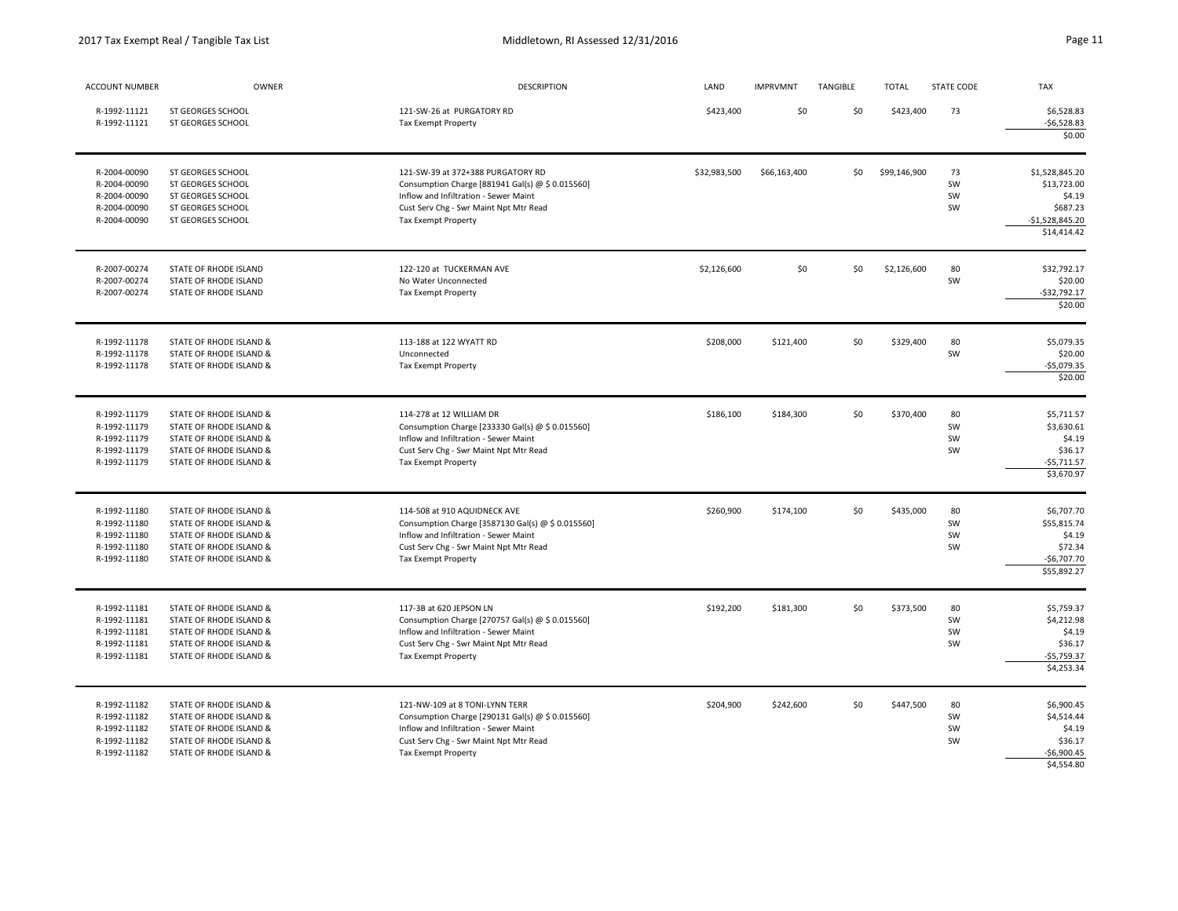| <b>ACCOUNT NUMBER</b>                                                        | OWNER                                                                                                                               | <b>DESCRIPTION</b>                                                                                                                                                                              | LAND         | <b>IMPRVMNT</b> | TANGIBLE | <b>TOTAL</b> | <b>STATE CODE</b>    | <b>TAX</b>                                                                              |
|------------------------------------------------------------------------------|-------------------------------------------------------------------------------------------------------------------------------------|-------------------------------------------------------------------------------------------------------------------------------------------------------------------------------------------------|--------------|-----------------|----------|--------------|----------------------|-----------------------------------------------------------------------------------------|
| R-1992-11121<br>R-1992-11121                                                 | ST GEORGES SCHOOL<br>ST GEORGES SCHOOL                                                                                              | 121-SW-26 at PURGATORY RD<br>Tax Exempt Property                                                                                                                                                | \$423,400    | \$0             | \$0      | \$423,400    | 73                   | \$6,528.83<br>$-56,528.83$<br>\$0.00                                                    |
| R-2004-00090<br>R-2004-00090<br>R-2004-00090<br>R-2004-00090<br>R-2004-00090 | ST GEORGES SCHOOL<br>ST GEORGES SCHOOL<br>ST GEORGES SCHOOL<br>ST GEORGES SCHOOL<br>ST GEORGES SCHOOL                               | 121-SW-39 at 372+388 PURGATORY RD<br>Consumption Charge [881941 Gal(s) @ \$ 0.015560]<br>Inflow and Infiltration - Sewer Maint<br>Cust Serv Chg - Swr Maint Npt Mtr Read<br>Tax Exempt Property | \$32,983,500 | \$66,163,400    | \$0      | \$99,146,900 | 73<br>SW<br>SW<br>SW | \$1,528,845.20<br>\$13,723.00<br>\$4.19<br>\$687.23<br>$-$1,528,845.20$<br>\$14,414.42  |
| R-2007-00274<br>R-2007-00274<br>R-2007-00274                                 | STATE OF RHODE ISLAND<br>STATE OF RHODE ISLAND<br>STATE OF RHODE ISLAND                                                             | 122-120 at TUCKERMAN AVE<br>No Water Unconnected<br>Tax Exempt Property                                                                                                                         | \$2,126,600  | \$0             | \$0      | \$2,126,600  | 80<br>SW             | \$32,792.17<br>\$20.00<br>$-532,792.17$<br>\$20.00                                      |
| R-1992-11178<br>R-1992-11178<br>R-1992-11178                                 | STATE OF RHODE ISLAND &<br>STATE OF RHODE ISLAND &<br>STATE OF RHODE ISLAND &                                                       | 113-188 at 122 WYATT RD<br>Unconnected<br>Tax Exempt Property                                                                                                                                   | \$208,000    | \$121,400       | \$0      | \$329,400    | 80<br>SW             | \$5,079.35<br>\$20.00<br>$-$5,079.35$<br>\$20.00                                        |
| R-1992-11179<br>R-1992-11179<br>R-1992-11179<br>R-1992-11179<br>R-1992-11179 | STATE OF RHODE ISLAND &<br>STATE OF RHODE ISLAND &<br>STATE OF RHODE ISLAND &<br>STATE OF RHODE ISLAND &<br>STATE OF RHODE ISLAND & | 114-278 at 12 WILLIAM DR<br>Consumption Charge [233330 Gal(s) @ \$ 0.015560]<br>Inflow and Infiltration - Sewer Maint<br>Cust Serv Chg - Swr Maint Npt Mtr Read<br>Tax Exempt Property          | \$186,100    | \$184,300       | \$0      | \$370,400    | 80<br>SW<br>SW<br>SW | \$5,711.57<br>\$3,630.61<br>\$4.19<br>\$36.17<br>$-$5,711.57$<br>\$3,670.97             |
| R-1992-11180<br>R-1992-11180<br>R-1992-11180<br>R-1992-11180<br>R-1992-11180 | STATE OF RHODE ISLAND &<br>STATE OF RHODE ISLAND &<br>STATE OF RHODE ISLAND &<br>STATE OF RHODE ISLAND &<br>STATE OF RHODE ISLAND & | 114-508 at 910 AQUIDNECK AVE<br>Consumption Charge [3587130 Gal(s) @ \$ 0.015560]<br>Inflow and Infiltration - Sewer Maint<br>Cust Serv Chg - Swr Maint Npt Mtr Read<br>Tax Exempt Property     | \$260,900    | \$174,100       | \$0      | \$435,000    | 80<br>SW<br>SW<br>SW | \$6,707.70<br>\$55,815.74<br>\$4.19<br>\$72.34<br>$-56,707.70$<br>\$55,892.27           |
| R-1992-11181<br>R-1992-11181<br>R-1992-11181<br>R-1992-11181<br>R-1992-11181 | STATE OF RHODE ISLAND &<br>STATE OF RHODE ISLAND &<br>STATE OF RHODE ISLAND &<br>STATE OF RHODE ISLAND &<br>STATE OF RHODE ISLAND & | 117-3B at 620 JEPSON LN<br>Consumption Charge [270757 Gal(s) @ \$ 0.015560]<br>Inflow and Infiltration - Sewer Maint<br>Cust Serv Chg - Swr Maint Npt Mtr Read<br>Tax Exempt Property           | \$192,200    | \$181,300       | \$0      | \$373,500    | 80<br>SW<br>SW<br>SW | \$5,759.37<br>\$4,212.98<br>\$4.19<br>\$36.17<br>$-$5,759.37$<br>$$4,253.\overline{34}$ |
| R-1992-11182<br>R-1992-11182<br>R-1992-11182<br>R-1992-11182<br>R-1992-11182 | STATE OF RHODE ISLAND &<br>STATE OF RHODE ISLAND &<br>STATE OF RHODE ISLAND &<br>STATE OF RHODE ISLAND &<br>STATE OF RHODE ISLAND & | 121-NW-109 at 8 TONI-LYNN TERR<br>Consumption Charge [290131 Gal(s) @ \$ 0.015560]<br>Inflow and Infiltration - Sewer Maint<br>Cust Serv Chg - Swr Maint Npt Mtr Read<br>Tax Exempt Property    | \$204,900    | \$242,600       | \$0      | \$447,500    | 80<br>SW<br>SW<br>SW | \$6,900.45<br>\$4,514.44<br>\$4.19<br>\$36.17<br>$-$6,900.45$<br>\$4,554.80             |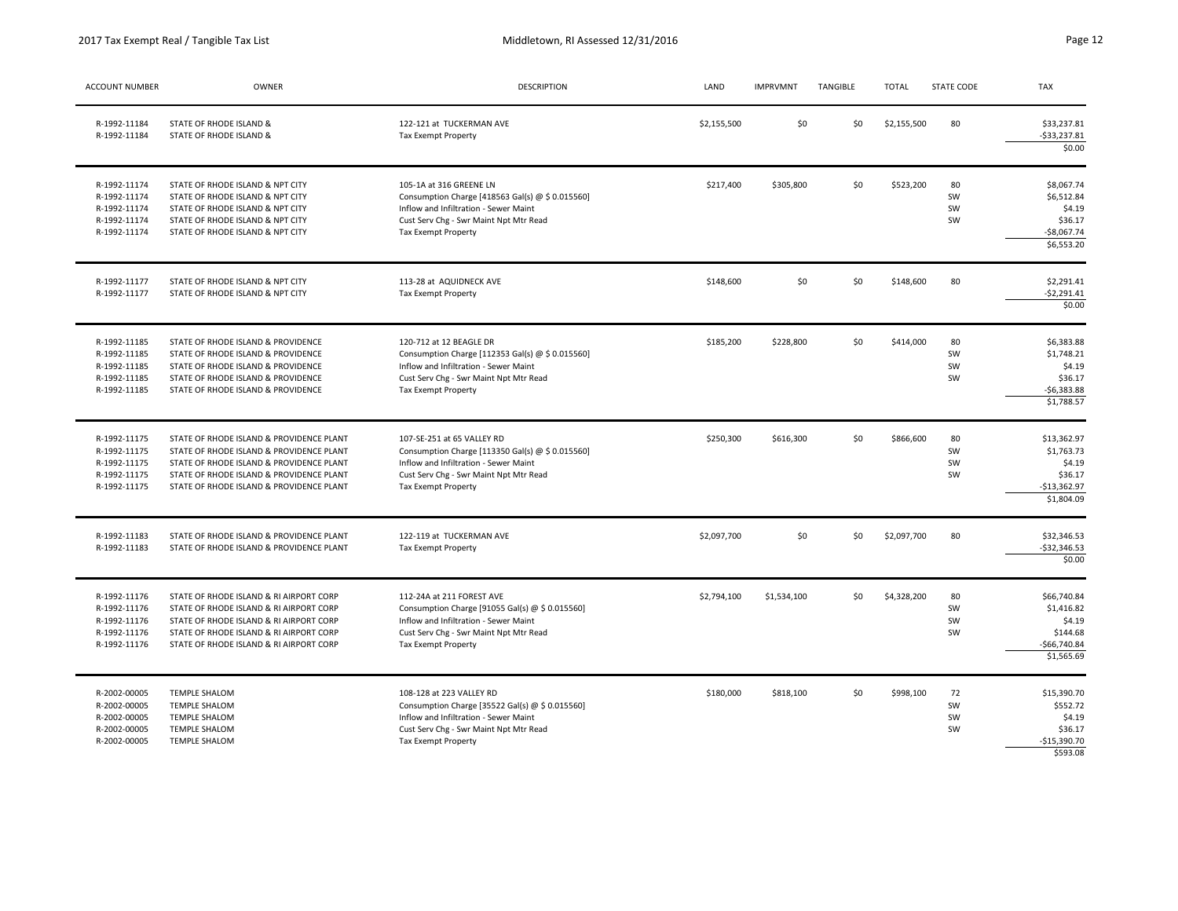| <b>ACCOUNT NUMBER</b>                                                        | <b>OWNER</b>                                                                                                                                                                                                             | <b>DESCRIPTION</b>                                                                                                                                                                              | LAND        | <b>IMPRVMNT</b> | TANGIBLE | <b>TOTAL</b> | <b>STATE CODE</b>    | <b>TAX</b>                                                                     |
|------------------------------------------------------------------------------|--------------------------------------------------------------------------------------------------------------------------------------------------------------------------------------------------------------------------|-------------------------------------------------------------------------------------------------------------------------------------------------------------------------------------------------|-------------|-----------------|----------|--------------|----------------------|--------------------------------------------------------------------------------|
| R-1992-11184<br>R-1992-11184                                                 | STATE OF RHODE ISLAND &<br>STATE OF RHODE ISLAND &                                                                                                                                                                       | 122-121 at TUCKERMAN AVE<br>Tax Exempt Property                                                                                                                                                 | \$2,155,500 | \$0             | \$0      | \$2,155,500  | 80                   | \$33,237.81<br>$-533,237.81$<br>\$0.00                                         |
| R-1992-11174<br>R-1992-11174<br>R-1992-11174<br>R-1992-11174<br>R-1992-11174 | STATE OF RHODE ISLAND & NPT CITY<br>STATE OF RHODE ISLAND & NPT CITY<br>STATE OF RHODE ISLAND & NPT CITY<br>STATE OF RHODE ISLAND & NPT CITY<br>STATE OF RHODE ISLAND & NPT CITY                                         | 105-1A at 316 GREENE LN<br>Consumption Charge [418563 Gal(s) @ \$ 0.015560]<br>Inflow and Infiltration - Sewer Maint<br>Cust Serv Chg - Swr Maint Npt Mtr Read<br>Tax Exempt Property           | \$217,400   | \$305,800       | \$0      | \$523,200    | 80<br>SW<br>SW<br>SW | \$8,067.74<br>\$6,512.84<br>\$4.19<br>\$36.17<br>$-$8,067.74$<br>\$6,553.20    |
| R-1992-11177<br>R-1992-11177                                                 | STATE OF RHODE ISLAND & NPT CITY<br>STATE OF RHODE ISLAND & NPT CITY                                                                                                                                                     | 113-28 at AQUIDNECK AVE<br>Tax Exempt Property                                                                                                                                                  | \$148,600   | \$0             | \$0      | \$148,600    | 80                   | \$2,291.41<br>$-52,291.41$<br>\$0.00                                           |
| R-1992-11185<br>R-1992-11185<br>R-1992-11185<br>R-1992-11185<br>R-1992-11185 | STATE OF RHODE ISLAND & PROVIDENCE<br>STATE OF RHODE ISLAND & PROVIDENCE<br>STATE OF RHODE ISLAND & PROVIDENCE<br>STATE OF RHODE ISLAND & PROVIDENCE<br>STATE OF RHODE ISLAND & PROVIDENCE                               | 120-712 at 12 BEAGLE DR<br>Consumption Charge [112353 Gal(s) @ \$ 0.015560]<br>Inflow and Infiltration - Sewer Maint<br>Cust Serv Chg - Swr Maint Npt Mtr Read<br>Tax Exempt Property           | \$185,200   | \$228,800       | \$0      | \$414,000    | 80<br>SW<br>SW<br>SW | \$6,383.88<br>\$1,748.21<br>\$4.19<br>\$36.17<br>$-56,383.88$<br>\$1,788.57    |
| R-1992-11175<br>R-1992-11175<br>R-1992-11175<br>R-1992-11175<br>R-1992-11175 | STATE OF RHODE ISLAND & PROVIDENCE PLANT<br>STATE OF RHODE ISLAND & PROVIDENCE PLANT<br>STATE OF RHODE ISLAND & PROVIDENCE PLANT<br>STATE OF RHODE ISLAND & PROVIDENCE PLANT<br>STATE OF RHODE ISLAND & PROVIDENCE PLANT | 107-SE-251 at 65 VALLEY RD<br>Consumption Charge [113350 Gal(s) @ \$ 0.015560]<br>Inflow and Infiltration - Sewer Maint<br>Cust Serv Chg - Swr Maint Npt Mtr Read<br><b>Tax Exempt Property</b> | \$250,300   | \$616,300       | \$0      | \$866,600    | 80<br>SW<br>SW<br>SW | \$13,362.97<br>\$1,763.73<br>\$4.19<br>\$36.17<br>$-513,362.97$<br>\$1,804.09  |
| R-1992-11183<br>R-1992-11183                                                 | STATE OF RHODE ISLAND & PROVIDENCE PLANT<br>STATE OF RHODE ISLAND & PROVIDENCE PLANT                                                                                                                                     | 122-119 at TUCKERMAN AVE<br>Tax Exempt Property                                                                                                                                                 | \$2,097,700 | \$0             | \$0      | \$2,097,700  | 80                   | \$32,346.53<br>$-$ \$32,346.53<br>\$0.00                                       |
| R-1992-11176<br>R-1992-11176<br>R-1992-11176<br>R-1992-11176<br>R-1992-11176 | STATE OF RHODE ISLAND & RI AIRPORT CORP<br>STATE OF RHODE ISLAND & RI AIRPORT CORP<br>STATE OF RHODE ISLAND & RI AIRPORT CORP<br>STATE OF RHODE ISLAND & RI AIRPORT CORP<br>STATE OF RHODE ISLAND & RI AIRPORT CORP      | 112-24A at 211 FOREST AVE<br>Consumption Charge [91055 Gal(s) @ \$ 0.015560]<br>Inflow and Infiltration - Sewer Maint<br>Cust Serv Chg - Swr Maint Npt Mtr Read<br>Tax Exempt Property          | \$2,794,100 | \$1,534,100     | \$0      | \$4,328,200  | 80<br>SW<br>SW<br>SW | \$66,740.84<br>\$1,416.82<br>\$4.19<br>\$144.68<br>$-$66,740.84$<br>\$1,565.69 |
| R-2002-00005<br>R-2002-00005<br>R-2002-00005<br>R-2002-00005<br>R-2002-00005 | <b>TEMPLE SHALOM</b><br><b>TEMPLE SHALOM</b><br><b>TEMPLE SHALOM</b><br><b>TEMPLE SHALOM</b><br><b>TEMPLE SHALOM</b>                                                                                                     | 108-128 at 223 VALLEY RD<br>Consumption Charge [35522 Gal(s) @ \$ 0.015560]<br>Inflow and Infiltration - Sewer Maint<br>Cust Serv Chg - Swr Maint Npt Mtr Read<br>Tax Exempt Property           | \$180,000   | \$818,100       | \$0      | \$998,100    | 72<br>SW<br>SW<br>SW | \$15.390.70<br>\$552.72<br>\$4.19<br>\$36.17<br>$-$15,390.70$<br>\$593.08      |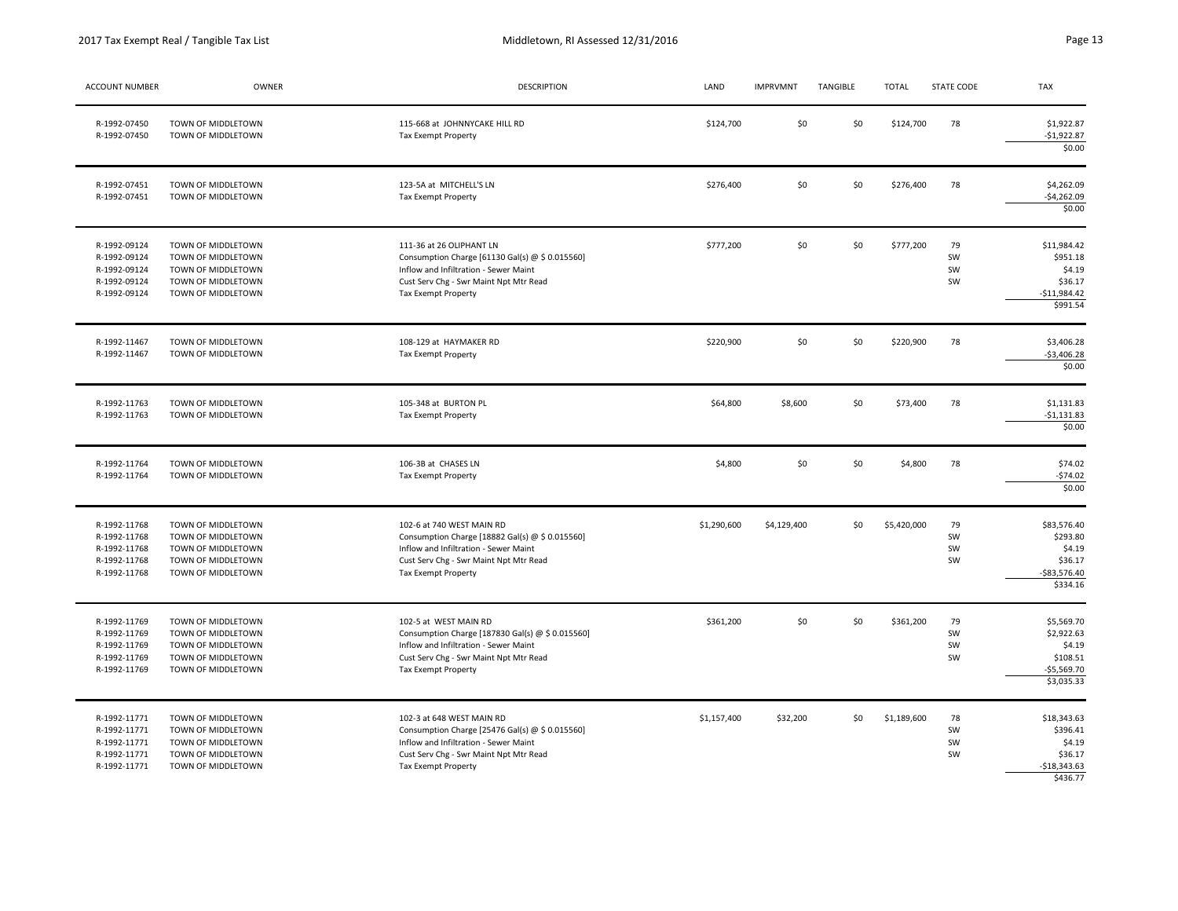| <b>ACCOUNT NUMBER</b>                                                        | OWNER                                                                                                      | <b>DESCRIPTION</b>                                                                                                                                                                            | LAND        | <b>IMPRVMNT</b> | TANGIBLE | <b>TOTAL</b> | <b>STATE CODE</b>    | <b>TAX</b>                                                                   |
|------------------------------------------------------------------------------|------------------------------------------------------------------------------------------------------------|-----------------------------------------------------------------------------------------------------------------------------------------------------------------------------------------------|-------------|-----------------|----------|--------------|----------------------|------------------------------------------------------------------------------|
| R-1992-07450<br>R-1992-07450                                                 | TOWN OF MIDDLETOWN<br>TOWN OF MIDDLETOWN                                                                   | 115-668 at JOHNNYCAKE HILL RD<br>Tax Exempt Property                                                                                                                                          | \$124,700   | \$0             | 50       | \$124,700    | 78                   | \$1,922.87<br>$-$1,922.87$<br>\$0.00                                         |
| R-1992-07451<br>R-1992-07451                                                 | TOWN OF MIDDLETOWN<br>TOWN OF MIDDLETOWN                                                                   | 123-5A at MITCHELL'S LN<br>Tax Exempt Property                                                                                                                                                | \$276,400   | \$0             | \$0      | \$276,400    | 78                   | \$4,262.09<br>$-54,262.09$<br>\$0.00                                         |
| R-1992-09124<br>R-1992-09124<br>R-1992-09124<br>R-1992-09124<br>R-1992-09124 | TOWN OF MIDDLETOWN<br>TOWN OF MIDDLETOWN<br>TOWN OF MIDDLETOWN<br>TOWN OF MIDDLETOWN<br>TOWN OF MIDDLETOWN | 111-36 at 26 OLIPHANT LN<br>Consumption Charge [61130 Gal(s) @ \$ 0.015560]<br>Inflow and Infiltration - Sewer Maint<br>Cust Serv Chg - Swr Maint Npt Mtr Read<br>Tax Exempt Property         | \$777,200   | \$0             | \$0      | \$777,200    | 79<br>SW<br>SW<br>SW | \$11,984.42<br>\$951.18<br>\$4.19<br>\$36.17<br>$-$11,984.42$<br>\$991.54    |
| R-1992-11467<br>R-1992-11467                                                 | TOWN OF MIDDLETOWN<br>TOWN OF MIDDLETOWN                                                                   | 108-129 at HAYMAKER RD<br>Tax Exempt Property                                                                                                                                                 | \$220,900   | \$0             | \$0      | \$220,900    | 78                   | \$3,406.28<br>$-$3,406.28$<br>\$0.00                                         |
| R-1992-11763<br>R-1992-11763                                                 | TOWN OF MIDDLETOWN<br>TOWN OF MIDDLETOWN                                                                   | 105-348 at BURTON PL<br>Tax Exempt Property                                                                                                                                                   | \$64,800    | \$8,600         | \$0      | \$73,400     | 78                   | \$1,131.83<br>$-$1,131.83$<br>\$0.00                                         |
| R-1992-11764<br>R-1992-11764                                                 | TOWN OF MIDDLETOWN<br>TOWN OF MIDDLETOWN                                                                   | 106-3B at CHASES LN<br>Tax Exempt Property                                                                                                                                                    | \$4,800     | \$0             | 50       | \$4,800      | 78                   | \$74.02<br>$-574.02$<br>\$0.00                                               |
| R-1992-11768<br>R-1992-11768<br>R-1992-11768<br>R-1992-11768<br>R-1992-11768 | TOWN OF MIDDLETOWN<br>TOWN OF MIDDLETOWN<br>TOWN OF MIDDLETOWN<br>TOWN OF MIDDLETOWN<br>TOWN OF MIDDLETOWN | 102-6 at 740 WEST MAIN RD<br>Consumption Charge [18882 Gal(s) @ \$ 0.015560]<br>Inflow and Infiltration - Sewer Maint<br>Cust Serv Chg - Swr Maint Npt Mtr Read<br>Tax Exempt Property        | \$1,290,600 | \$4,129,400     | \$0      | \$5,420,000  | 79<br>SW<br>SW<br>SW | \$83,576.40<br>\$293.80<br>\$4.19<br>\$36.17<br>$-$83,576.40$<br>\$334.16    |
| R-1992-11769<br>R-1992-11769<br>R-1992-11769<br>R-1992-11769<br>R-1992-11769 | TOWN OF MIDDLETOWN<br>TOWN OF MIDDLETOWN<br>TOWN OF MIDDLETOWN<br>TOWN OF MIDDLETOWN<br>TOWN OF MIDDLETOWN | 102-5 at WEST MAIN RD<br>Consumption Charge [187830 Gal(s) @ \$ 0.015560]<br>Inflow and Infiltration - Sewer Maint<br>Cust Serv Chg - Swr Maint Npt Mtr Read<br>Tax Exempt Property           | \$361,200   | \$0             | \$0      | \$361,200    | 79<br>SW<br>SW<br>SW | \$5,569.70<br>\$2,922.63<br>\$4.19<br>\$108.51<br>$-$5,569.70$<br>\$3,035.33 |
| R-1992-11771<br>R-1992-11771<br>R-1992-11771<br>R-1992-11771<br>R-1992-11771 | TOWN OF MIDDLETOWN<br>TOWN OF MIDDLETOWN<br>TOWN OF MIDDLETOWN<br>TOWN OF MIDDLETOWN<br>TOWN OF MIDDLETOWN | 102-3 at 648 WEST MAIN RD<br>Consumption Charge [25476 Gal(s) @ \$ 0.015560]<br>Inflow and Infiltration - Sewer Maint<br>Cust Serv Chg - Swr Maint Npt Mtr Read<br><b>Tax Exempt Property</b> | \$1,157,400 | \$32,200        | \$0      | \$1,189,600  | 78<br>SW<br>SW<br>SW | \$18,343.63<br>\$396.41<br>\$4.19<br>\$36.17<br>$-$18,343.63$<br>\$436.77    |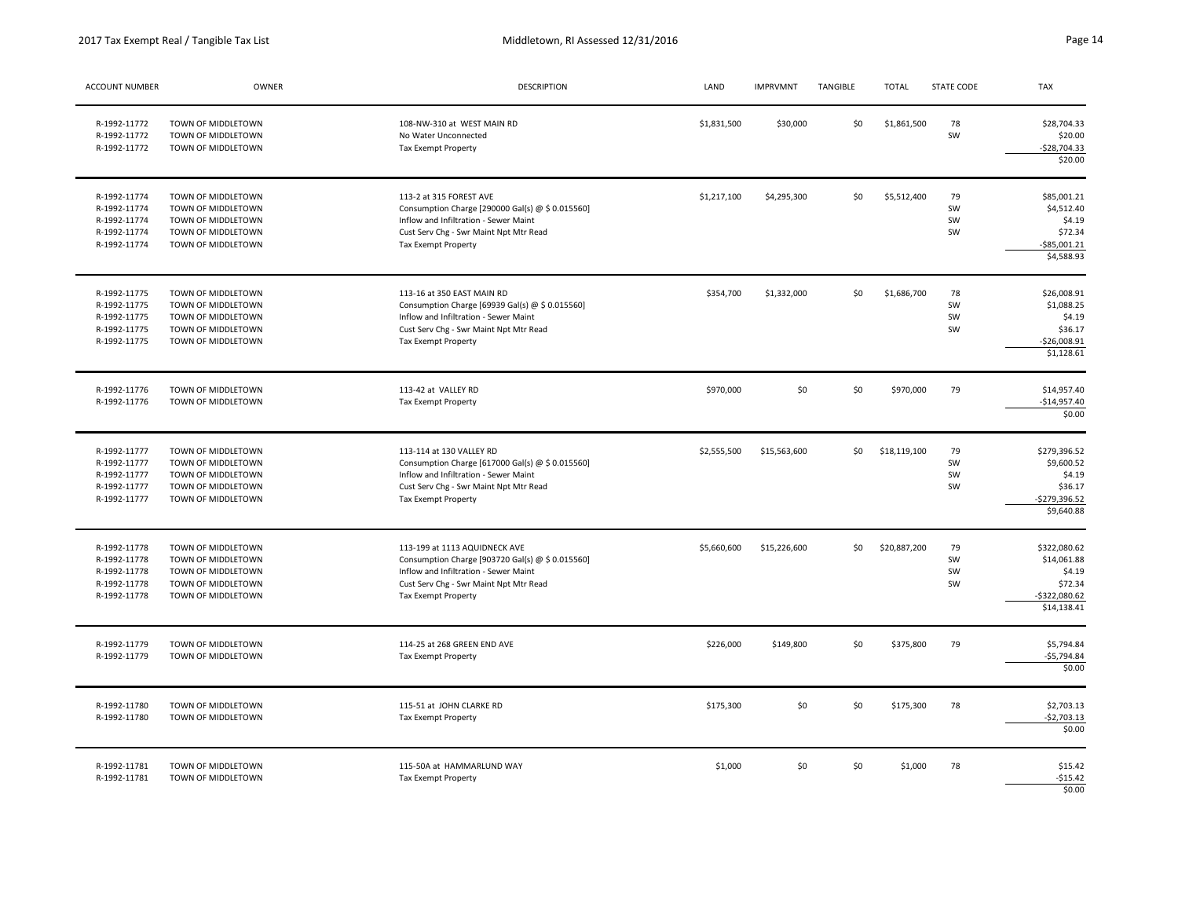| <b>ACCOUNT NUMBER</b>                                                        | OWNER                                                                                                      | <b>DESCRIPTION</b>                                                                                                                                                                          | LAND        | <b>IMPRVMNT</b> | TANGIBLE | <b>TOTAL</b> | <b>STATE CODE</b>    | <b>TAX</b>                                                                        |
|------------------------------------------------------------------------------|------------------------------------------------------------------------------------------------------------|---------------------------------------------------------------------------------------------------------------------------------------------------------------------------------------------|-------------|-----------------|----------|--------------|----------------------|-----------------------------------------------------------------------------------|
| R-1992-11772<br>R-1992-11772<br>R-1992-11772                                 | TOWN OF MIDDLETOWN<br>TOWN OF MIDDLETOWN<br>TOWN OF MIDDLETOWN                                             | 108-NW-310 at WEST MAIN RD<br>No Water Unconnected<br>Tax Exempt Property                                                                                                                   | \$1,831,500 | \$30,000        | \$0      | \$1,861,500  | 78<br>SW             | \$28,704.33<br>\$20.00<br>$-$28,704.33$<br>\$20.00                                |
| R-1992-11774<br>R-1992-11774<br>R-1992-11774<br>R-1992-11774<br>R-1992-11774 | TOWN OF MIDDLETOWN<br>TOWN OF MIDDLETOWN<br>TOWN OF MIDDLETOWN<br>TOWN OF MIDDLETOWN<br>TOWN OF MIDDLETOWN | 113-2 at 315 FOREST AVE<br>Consumption Charge [290000 Gal(s) @ \$ 0.015560]<br>Inflow and Infiltration - Sewer Maint<br>Cust Serv Chg - Swr Maint Npt Mtr Read<br>Tax Exempt Property       | \$1,217,100 | \$4,295,300     | \$0      | \$5,512,400  | 79<br>SW<br>SW<br>SW | \$85,001.21<br>\$4,512.40<br>\$4.19<br>\$72.34<br>$-$ \$85,001.21<br>\$4,588.93   |
| R-1992-11775<br>R-1992-11775<br>R-1992-11775<br>R-1992-11775<br>R-1992-11775 | TOWN OF MIDDLETOWN<br>TOWN OF MIDDLETOWN<br>TOWN OF MIDDLETOWN<br>TOWN OF MIDDLETOWN<br>TOWN OF MIDDLETOWN | 113-16 at 350 EAST MAIN RD<br>Consumption Charge [69939 Gal(s) @ \$ 0.015560]<br>Inflow and Infiltration - Sewer Maint<br>Cust Serv Chg - Swr Maint Npt Mtr Read<br>Tax Exempt Property     | \$354,700   | \$1,332,000     | \$0      | \$1,686,700  | 78<br>SW<br>SW<br>SW | \$26,008.91<br>\$1,088.25<br>\$4.19<br>\$36.17<br>$-526,008.91$<br>\$1,128.61     |
| R-1992-11776<br>R-1992-11776                                                 | TOWN OF MIDDLETOWN<br>TOWN OF MIDDLETOWN                                                                   | 113-42 at VALLEY RD<br>Tax Exempt Property                                                                                                                                                  | \$970,000   | \$0             | \$0      | \$970,000    | 79                   | \$14,957.40<br>$-$14,957.40$<br>\$0.00                                            |
| R-1992-11777<br>R-1992-11777<br>R-1992-11777<br>R-1992-11777<br>R-1992-11777 | TOWN OF MIDDLETOWN<br>TOWN OF MIDDLETOWN<br>TOWN OF MIDDLETOWN<br>TOWN OF MIDDLETOWN<br>TOWN OF MIDDLETOWN | 113-114 at 130 VALLEY RD<br>Consumption Charge [617000 Gal(s) @ \$ 0.015560]<br>Inflow and Infiltration - Sewer Maint<br>Cust Serv Chg - Swr Maint Npt Mtr Read<br>Tax Exempt Property      | \$2,555,500 | \$15,563,600    | \$0      | \$18,119,100 | 79<br>SW<br>SW<br>SW | \$279,396.52<br>\$9,600.52<br>\$4.19<br>\$36.17<br>$-5279,396.52$<br>\$9,640.88   |
| R-1992-11778<br>R-1992-11778<br>R-1992-11778<br>R-1992-11778<br>R-1992-11778 | TOWN OF MIDDLETOWN<br>TOWN OF MIDDLETOWN<br>TOWN OF MIDDLETOWN<br>TOWN OF MIDDLETOWN<br>TOWN OF MIDDLETOWN | 113-199 at 1113 AQUIDNECK AVE<br>Consumption Charge [903720 Gal(s) @ \$ 0.015560]<br>Inflow and Infiltration - Sewer Maint<br>Cust Serv Chg - Swr Maint Npt Mtr Read<br>Tax Exempt Property | \$5,660,600 | \$15,226,600    | \$0      | \$20,887,200 | 79<br>SW<br>SW<br>SW | \$322,080.62<br>\$14,061.88<br>\$4.19<br>\$72.34<br>$-$322,080.62$<br>\$14,138.41 |
| R-1992-11779<br>R-1992-11779                                                 | TOWN OF MIDDLETOWN<br>TOWN OF MIDDLETOWN                                                                   | 114-25 at 268 GREEN END AVE<br>Tax Exempt Property                                                                                                                                          | \$226,000   | \$149,800       | \$0      | \$375,800    | 79                   | \$5,794.84<br>$-$5,794.84$<br>\$0.00                                              |
| R-1992-11780<br>R-1992-11780                                                 | TOWN OF MIDDLETOWN<br>TOWN OF MIDDLETOWN                                                                   | 115-51 at JOHN CLARKE RD<br>Tax Exempt Property                                                                                                                                             | \$175,300   | \$0             | \$0      | \$175,300    | 78                   | \$2,703.13<br>$-$2,703.13$<br>\$0.00                                              |
| R-1992-11781<br>R-1992-11781                                                 | TOWN OF MIDDLETOWN<br>TOWN OF MIDDLETOWN                                                                   | 115-50A at HAMMARLUND WAY<br>Tax Exempt Property                                                                                                                                            | \$1,000     | \$0             | \$0      | \$1,000      | 78                   | \$15.42<br>$-515.42$<br>\$0.00                                                    |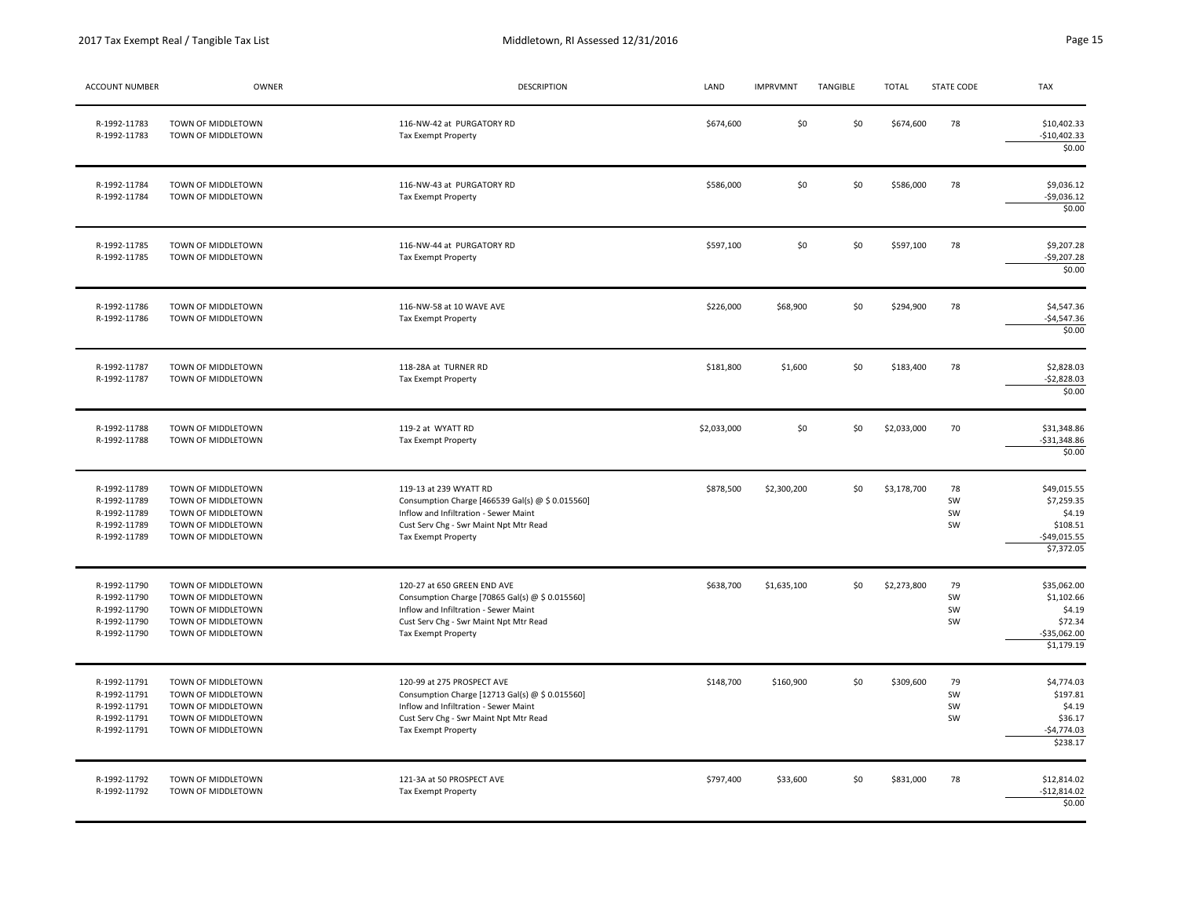| ACCOUNT NUMBER                                                               | OWNER                                                                                                      | <b>DESCRIPTION</b>                                                                                                                                                                             | LAND        | <b>IMPRVMNT</b> | TANGIBLE | <b>TOTAL</b> | <b>STATE CODE</b>    | <b>TAX</b>                                                                     |
|------------------------------------------------------------------------------|------------------------------------------------------------------------------------------------------------|------------------------------------------------------------------------------------------------------------------------------------------------------------------------------------------------|-------------|-----------------|----------|--------------|----------------------|--------------------------------------------------------------------------------|
| R-1992-11783<br>R-1992-11783                                                 | TOWN OF MIDDLETOWN<br>TOWN OF MIDDLETOWN                                                                   | 116-NW-42 at PURGATORY RD<br><b>Tax Exempt Property</b>                                                                                                                                        | \$674,600   | \$0             | \$0      | \$674,600    | 78                   | \$10,402.33<br>$-$10,402.33$<br>\$0.00                                         |
| R-1992-11784<br>R-1992-11784                                                 | TOWN OF MIDDLETOWN<br>TOWN OF MIDDLETOWN                                                                   | 116-NW-43 at PURGATORY RD<br>Tax Exempt Property                                                                                                                                               | \$586,000   | \$0             | \$0      | \$586,000    | 78                   | \$9,036.12<br>$-59,036.12$<br>\$0.00                                           |
| R-1992-11785<br>R-1992-11785                                                 | TOWN OF MIDDLETOWN<br>TOWN OF MIDDLETOWN                                                                   | 116-NW-44 at PURGATORY RD<br>Tax Exempt Property                                                                                                                                               | \$597,100   | \$0             | \$0      | \$597,100    | 78                   | \$9,207.28<br>$-59,207.28$<br>\$0.00                                           |
| R-1992-11786<br>R-1992-11786                                                 | TOWN OF MIDDLETOWN<br>TOWN OF MIDDLETOWN                                                                   | 116-NW-58 at 10 WAVE AVE<br>Tax Exempt Property                                                                                                                                                | \$226,000   | \$68,900        | \$0      | \$294,900    | 78                   | \$4,547.36<br>$-54,547.36$<br>\$0.00                                           |
| R-1992-11787<br>R-1992-11787                                                 | TOWN OF MIDDLETOWN<br>TOWN OF MIDDLETOWN                                                                   | 118-28A at TURNER RD<br>Tax Exempt Property                                                                                                                                                    | \$181,800   | \$1,600         | \$0      | \$183,400    | 78                   | \$2,828.03<br>$-52,828.03$<br>\$0.00                                           |
| R-1992-11788<br>R-1992-11788                                                 | TOWN OF MIDDLETOWN<br>TOWN OF MIDDLETOWN                                                                   | 119-2 at WYATT RD<br>Tax Exempt Property                                                                                                                                                       | \$2,033,000 | \$0             | \$0      | \$2,033,000  | 70                   | \$31,348.86<br>$-531,348.86$<br>\$0.00                                         |
| R-1992-11789<br>R-1992-11789<br>R-1992-11789<br>R-1992-11789<br>R-1992-11789 | TOWN OF MIDDLETOWN<br>TOWN OF MIDDLETOWN<br>TOWN OF MIDDLETOWN<br>TOWN OF MIDDLETOWN<br>TOWN OF MIDDLETOWN | 119-13 at 239 WYATT RD<br>Consumption Charge [466539 Gal(s) @ \$ 0.015560]<br>Inflow and Infiltration - Sewer Maint<br>Cust Serv Chg - Swr Maint Npt Mtr Read<br>Tax Exempt Property           | \$878,500   | \$2,300,200     | \$0      | \$3,178,700  | 78<br>SW<br>SW<br>SW | \$49,015.55<br>\$7,259.35<br>\$4.19<br>\$108.51<br>$-549,015.55$<br>\$7,372.05 |
| R-1992-11790<br>R-1992-11790<br>R-1992-11790<br>R-1992-11790<br>R-1992-11790 | TOWN OF MIDDLETOWN<br>TOWN OF MIDDLETOWN<br>TOWN OF MIDDLETOWN<br>TOWN OF MIDDLETOWN<br>TOWN OF MIDDLETOWN | 120-27 at 650 GREEN END AVE<br>Consumption Charge [70865 Gal(s) @ \$ 0.015560]<br>Inflow and Infiltration - Sewer Maint<br>Cust Serv Chg - Swr Maint Npt Mtr Read<br>Tax Exempt Property       | \$638,700   | \$1,635,100     | \$0      | \$2,273,800  | 79<br>SW<br>SW<br>SW | \$35,062.00<br>\$1,102.66<br>\$4.19<br>\$72.34<br>-\$35,062.00<br>\$1,179.19   |
| R-1992-11791<br>R-1992-11791<br>R-1992-11791<br>R-1992-11791<br>R-1992-11791 | TOWN OF MIDDLETOWN<br>TOWN OF MIDDLETOWN<br>TOWN OF MIDDLETOWN<br>TOWN OF MIDDLETOWN<br>TOWN OF MIDDLETOWN | 120-99 at 275 PROSPECT AVE<br>Consumption Charge [12713 Gal(s) @ \$ 0.015560]<br>Inflow and Infiltration - Sewer Maint<br>Cust Serv Chg - Swr Maint Npt Mtr Read<br><b>Tax Exempt Property</b> | \$148,700   | \$160,900       | \$0      | \$309,600    | 79<br>SW<br>SW<br>SW | \$4,774.03<br>\$197.81<br>\$4.19<br>\$36.17<br>$-$4,774.03$<br>\$238.17        |
| R-1992-11792<br>R-1992-11792                                                 | TOWN OF MIDDLETOWN<br>TOWN OF MIDDLETOWN                                                                   | 121-3A at 50 PROSPECT AVE<br>Tax Exempt Property                                                                                                                                               | \$797,400   | \$33,600        | \$0      | \$831,000    | 78                   | \$12,814.02<br>$-$12,814.02$<br>\$0.00                                         |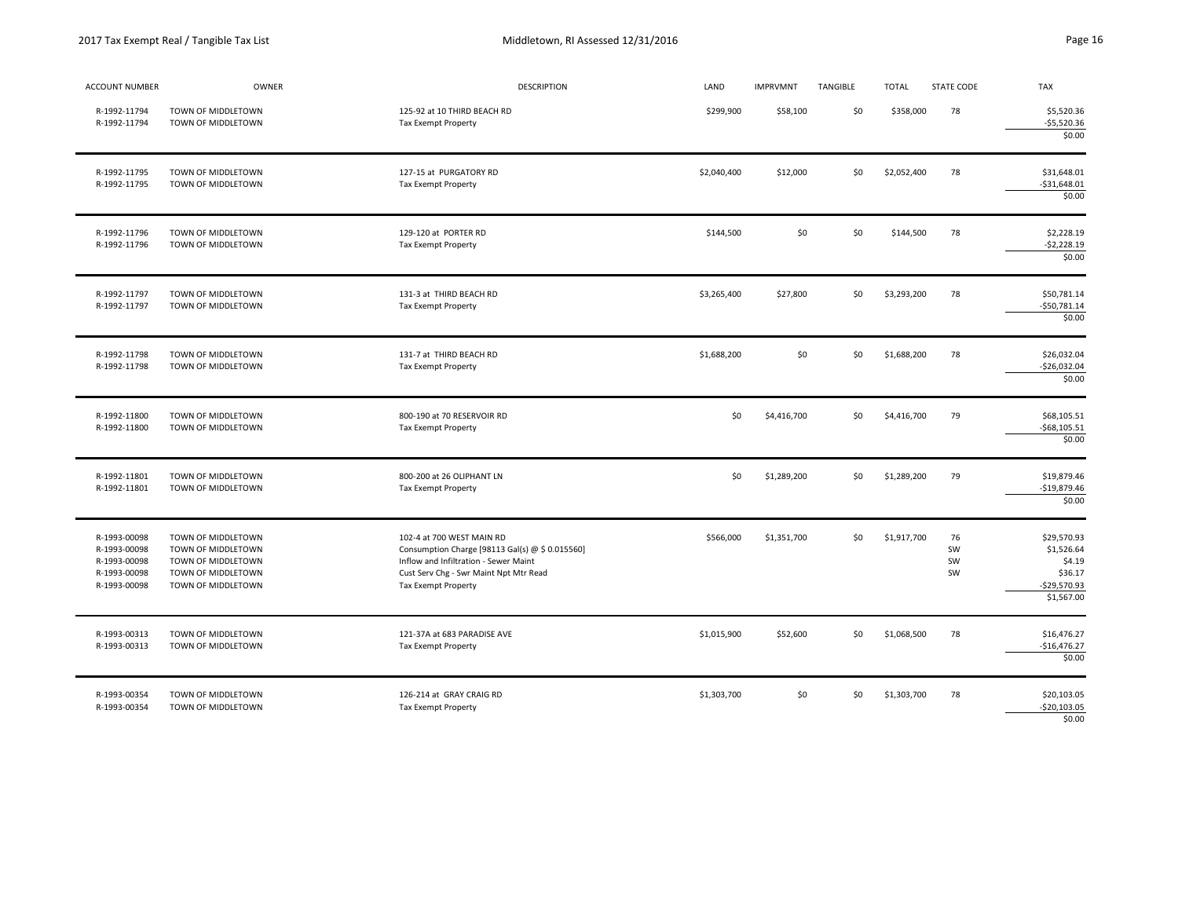|  | ١ |
|--|---|
|  |   |

| ACCOUNT NUMBER                                                               | OWNER                                                                                                      | <b>DESCRIPTION</b>                                                                                                                                                                     | LAND        | <b>IMPRVMNT</b> | TANGIBLE | <b>TOTAL</b> | STATE CODE           | <b>TAX</b>                                                                   |
|------------------------------------------------------------------------------|------------------------------------------------------------------------------------------------------------|----------------------------------------------------------------------------------------------------------------------------------------------------------------------------------------|-------------|-----------------|----------|--------------|----------------------|------------------------------------------------------------------------------|
| R-1992-11794<br>R-1992-11794                                                 | TOWN OF MIDDLETOWN<br>TOWN OF MIDDLETOWN                                                                   | 125-92 at 10 THIRD BEACH RD<br>Tax Exempt Property                                                                                                                                     | \$299,900   | \$58,100        | \$0      | \$358,000    | 78                   | \$5,520.36<br>$-55,520.36$<br>\$0.00                                         |
| R-1992-11795<br>R-1992-11795                                                 | TOWN OF MIDDLETOWN<br>TOWN OF MIDDLETOWN                                                                   | 127-15 at PURGATORY RD<br>Tax Exempt Property                                                                                                                                          | \$2,040,400 | \$12,000        | \$0      | \$2,052,400  | 78                   | \$31,648.01<br>$-531,648.01$<br>\$0.00                                       |
| R-1992-11796<br>R-1992-11796                                                 | TOWN OF MIDDLETOWN<br>TOWN OF MIDDLETOWN                                                                   | 129-120 at PORTER RD<br>Tax Exempt Property                                                                                                                                            | \$144,500   | \$0             | \$0      | \$144,500    | 78                   | \$2,228.19<br>$-52,228.19$<br>\$0.00                                         |
| R-1992-11797<br>R-1992-11797                                                 | TOWN OF MIDDLETOWN<br>TOWN OF MIDDLETOWN                                                                   | 131-3 at THIRD BEACH RD<br>Tax Exempt Property                                                                                                                                         | \$3,265,400 | \$27,800        | \$0      | \$3,293,200  | 78                   | \$50,781.14<br>$-$50,781.14$<br>\$0.00                                       |
| R-1992-11798<br>R-1992-11798                                                 | TOWN OF MIDDLETOWN<br>TOWN OF MIDDLETOWN                                                                   | 131-7 at THIRD BEACH RD<br>Tax Exempt Property                                                                                                                                         | \$1,688,200 | \$0             | \$0      | \$1,688,200  | 78                   | \$26,032.04<br>$-526,032.04$<br>\$0.00                                       |
| R-1992-11800<br>R-1992-11800                                                 | TOWN OF MIDDLETOWN<br>TOWN OF MIDDLETOWN                                                                   | 800-190 at 70 RESERVOIR RD<br>Tax Exempt Property                                                                                                                                      | \$0         | \$4,416,700     | \$0      | \$4,416,700  | 79                   | \$68,105.51<br>$-568, 105.51$<br>\$0.00                                      |
| R-1992-11801<br>R-1992-11801                                                 | TOWN OF MIDDLETOWN<br>TOWN OF MIDDLETOWN                                                                   | 800-200 at 26 OLIPHANT LN<br>Tax Exempt Property                                                                                                                                       | \$0         | \$1,289,200     | \$0      | \$1,289,200  | 79                   | \$19,879.46<br>$-$19,879.46$<br>\$0.00                                       |
| R-1993-00098<br>R-1993-00098<br>R-1993-00098<br>R-1993-00098<br>R-1993-00098 | TOWN OF MIDDLETOWN<br>TOWN OF MIDDLETOWN<br>TOWN OF MIDDLETOWN<br>TOWN OF MIDDLETOWN<br>TOWN OF MIDDLETOWN | 102-4 at 700 WEST MAIN RD<br>Consumption Charge [98113 Gal(s) @ \$ 0.015560]<br>Inflow and Infiltration - Sewer Maint<br>Cust Serv Chg - Swr Maint Npt Mtr Read<br>Tax Exempt Property | \$566,000   | \$1,351,700     | \$0      | \$1,917,700  | 76<br>SW<br>SW<br>SW | \$29,570.93<br>\$1,526.64<br>\$4.19<br>\$36.17<br>-\$29,570.93<br>\$1,567.00 |
| R-1993-00313<br>R-1993-00313                                                 | TOWN OF MIDDLETOWN<br>TOWN OF MIDDLETOWN                                                                   | 121-37A at 683 PARADISE AVE<br>Tax Exempt Property                                                                                                                                     | \$1,015,900 | \$52,600        | \$0      | \$1,068,500  | 78                   | \$16,476.27<br>$-$16,476.27$<br>\$0.00                                       |
| R-1993-00354<br>R-1993-00354                                                 | TOWN OF MIDDLETOWN<br>TOWN OF MIDDLETOWN                                                                   | 126-214 at GRAY CRAIG RD<br>Tax Exempt Property                                                                                                                                        | \$1,303,700 | \$0             | \$0      | \$1,303,700  | 78                   | \$20,103.05<br>$-520,103.05$<br>\$0.00                                       |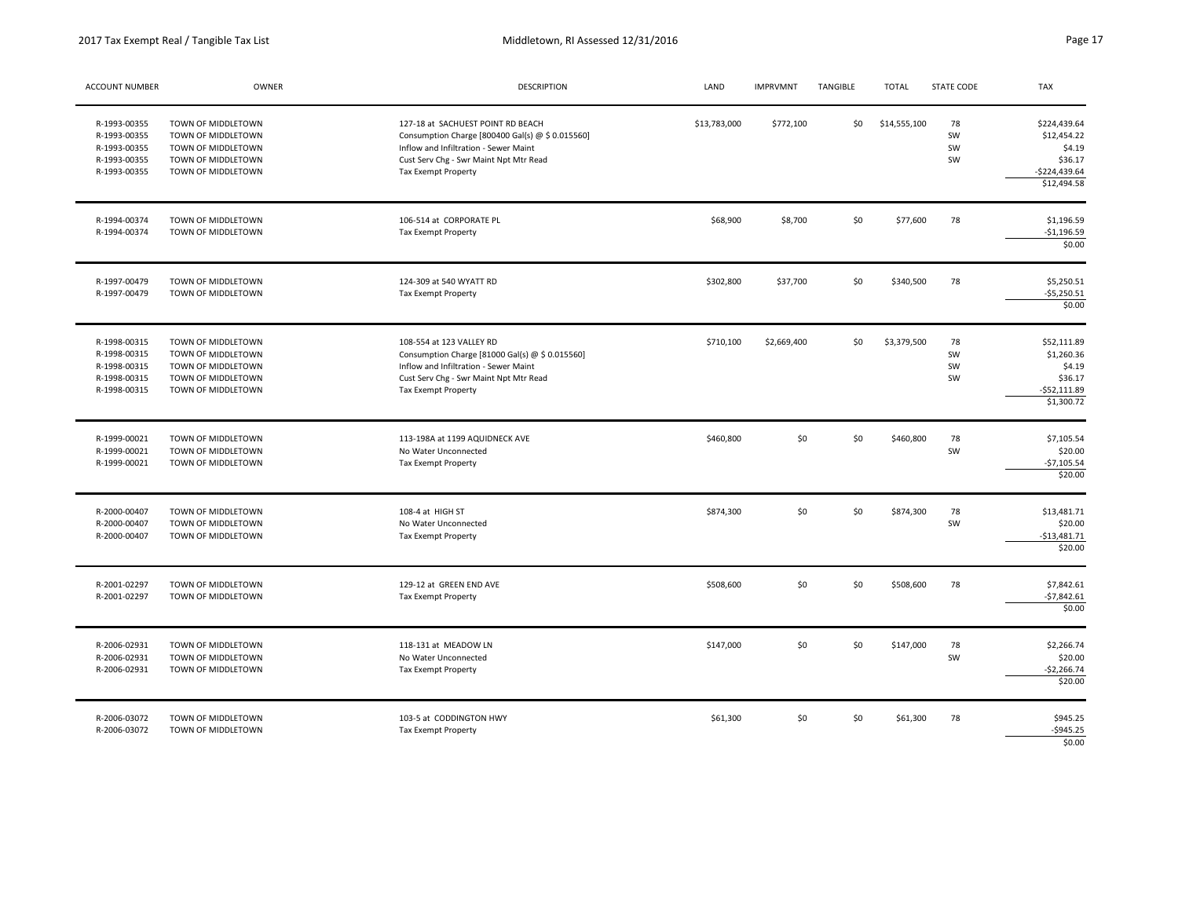2017 Tax Exempt Real / Tangible Tax List

| ACCOUNT NUMBER                                                               | OWNER                                                                                                      | <b>DESCRIPTION</b>                                                                                                                                                                              | LAND         | <b>IMPRVMNT</b> | TANGIBLE | <b>TOTAL</b> | STATE CODE           | <b>TAX</b>                                                                        |
|------------------------------------------------------------------------------|------------------------------------------------------------------------------------------------------------|-------------------------------------------------------------------------------------------------------------------------------------------------------------------------------------------------|--------------|-----------------|----------|--------------|----------------------|-----------------------------------------------------------------------------------|
| R-1993-00355<br>R-1993-00355<br>R-1993-00355<br>R-1993-00355<br>R-1993-00355 | TOWN OF MIDDLETOWN<br>TOWN OF MIDDLETOWN<br>TOWN OF MIDDLETOWN<br>TOWN OF MIDDLETOWN<br>TOWN OF MIDDLETOWN | 127-18 at SACHUEST POINT RD BEACH<br>Consumption Charge [800400 Gal(s) @ \$ 0.015560]<br>Inflow and Infiltration - Sewer Maint<br>Cust Serv Chg - Swr Maint Npt Mtr Read<br>Tax Exempt Property | \$13,783,000 | \$772,100       | \$0      | \$14,555,100 | 78<br>SW<br>SW<br>SW | \$224,439.64<br>\$12,454.22<br>\$4.19<br>\$36.17<br>$-$224,439.64$<br>\$12,494.58 |
| R-1994-00374<br>R-1994-00374                                                 | TOWN OF MIDDLETOWN<br>TOWN OF MIDDLETOWN                                                                   | 106-514 at CORPORATE PL<br>Tax Exempt Property                                                                                                                                                  | \$68,900     | \$8,700         | \$0      | \$77,600     | 78                   | \$1,196.59<br>$-$1,196.59$<br>\$0.00                                              |
| R-1997-00479<br>R-1997-00479                                                 | TOWN OF MIDDLETOWN<br>TOWN OF MIDDLETOWN                                                                   | 124-309 at 540 WYATT RD<br>Tax Exempt Property                                                                                                                                                  | \$302,800    | \$37,700        | \$0      | \$340,500    | 78                   | \$5,250.51<br>$-55,250.51$<br>\$0.00                                              |
| R-1998-00315<br>R-1998-00315<br>R-1998-00315<br>R-1998-00315<br>R-1998-00315 | TOWN OF MIDDLETOWN<br>TOWN OF MIDDLETOWN<br>TOWN OF MIDDLETOWN<br>TOWN OF MIDDLETOWN<br>TOWN OF MIDDLETOWN | 108-554 at 123 VALLEY RD<br>Consumption Charge [81000 Gal(s) @ \$ 0.015560]<br>Inflow and Infiltration - Sewer Maint<br>Cust Serv Chg - Swr Maint Npt Mtr Read<br>Tax Exempt Property           | \$710,100    | \$2,669,400     | \$0      | \$3,379,500  | 78<br>SW<br>SW<br>SW | \$52,111.89<br>\$1,260.36<br>\$4.19<br>\$36.17<br>$-$52,111.89$<br>\$1,300.72     |
| R-1999-00021<br>R-1999-00021<br>R-1999-00021                                 | TOWN OF MIDDLETOWN<br>TOWN OF MIDDLETOWN<br>TOWN OF MIDDLETOWN                                             | 113-198A at 1199 AQUIDNECK AVE<br>No Water Unconnected<br>Tax Exempt Property                                                                                                                   | \$460,800    | \$0             | \$0      | \$460,800    | 78<br>SW             | \$7,105.54<br>\$20.00<br>$-$7,105.54$<br>\$20.00                                  |
| R-2000-00407<br>R-2000-00407<br>R-2000-00407                                 | TOWN OF MIDDLETOWN<br>TOWN OF MIDDLETOWN<br>TOWN OF MIDDLETOWN                                             | 108-4 at HIGH ST<br>No Water Unconnected<br>Tax Exempt Property                                                                                                                                 | \$874,300    | \$0             | \$0      | \$874,300    | 78<br>SW             | \$13,481.71<br>\$20.00<br>$-$13,481.71$<br>\$20.00                                |
| R-2001-02297<br>R-2001-02297                                                 | TOWN OF MIDDLETOWN<br>TOWN OF MIDDLETOWN                                                                   | 129-12 at GREEN END AVE<br>Tax Exempt Property                                                                                                                                                  | \$508,600    | \$0             | \$0      | \$508,600    | 78                   | \$7,842.61<br>$-57,842.61$<br>\$0.00                                              |
| R-2006-02931<br>R-2006-02931<br>R-2006-02931                                 | TOWN OF MIDDLETOWN<br>TOWN OF MIDDLETOWN<br>TOWN OF MIDDLETOWN                                             | 118-131 at MEADOW LN<br>No Water Unconnected<br>Tax Exempt Property                                                                                                                             | \$147,000    | \$0             | \$0      | \$147,000    | 78<br>SW             | \$2,266.74<br>\$20.00<br>$-$2,266.74$<br>\$20.00                                  |
| R-2006-03072<br>R-2006-03072                                                 | TOWN OF MIDDLETOWN<br>TOWN OF MIDDLETOWN                                                                   | 103-5 at CODDINGTON HWY<br>Tax Exempt Property                                                                                                                                                  | \$61,300     | \$0             | \$0      | \$61,300     | 78                   | \$945.25<br>$-$ \$945.25<br>\$0.00                                                |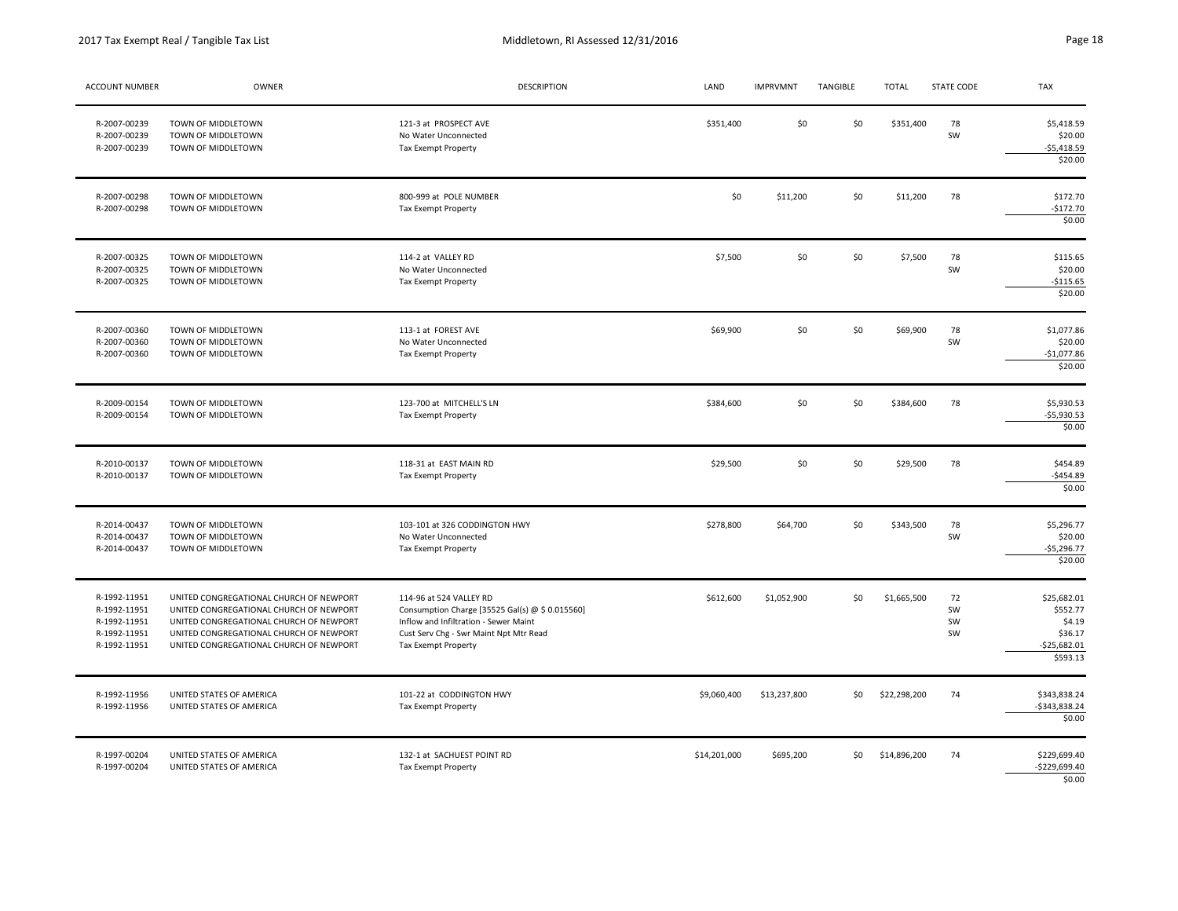| ACCOUNT NUMBER                                                               | OWNER                                                                                                                                                                                                               | <b>DESCRIPTION</b>                                                                                                                                                                   | LAND         | <b>IMPRVMNT</b> | TANGIBLE | <b>TOTAL</b> | STATE CODE           | <b>TAX</b>                                                                |
|------------------------------------------------------------------------------|---------------------------------------------------------------------------------------------------------------------------------------------------------------------------------------------------------------------|--------------------------------------------------------------------------------------------------------------------------------------------------------------------------------------|--------------|-----------------|----------|--------------|----------------------|---------------------------------------------------------------------------|
| R-2007-00239<br>R-2007-00239<br>R-2007-00239                                 | TOWN OF MIDDLETOWN<br>TOWN OF MIDDLETOWN<br>TOWN OF MIDDLETOWN                                                                                                                                                      | 121-3 at PROSPECT AVE<br>No Water Unconnected<br><b>Tax Exempt Property</b>                                                                                                          | \$351,400    | \$0             | \$0      | \$351,400    | 78<br>SW             | \$5,418.59<br>\$20.00<br>$-$5,418.59$<br>\$20.00                          |
| R-2007-00298<br>R-2007-00298                                                 | TOWN OF MIDDLETOWN<br>TOWN OF MIDDLETOWN                                                                                                                                                                            | 800-999 at POLE NUMBER<br><b>Tax Exempt Property</b>                                                                                                                                 | \$0          | \$11,200        | \$0      | \$11,200     | 78                   | \$172.70<br>$-5172.70$<br>\$0.00                                          |
| R-2007-00325<br>R-2007-00325<br>R-2007-00325                                 | TOWN OF MIDDLETOWN<br>TOWN OF MIDDLETOWN<br>TOWN OF MIDDLETOWN                                                                                                                                                      | 114-2 at VALLEY RD<br>No Water Unconnected<br>Tax Exempt Property                                                                                                                    | \$7,500      | \$0             | \$0      | \$7,500      | 78<br>SW             | \$115.65<br>\$20.00<br>$-$115.65$<br>\$20.00                              |
| R-2007-00360<br>R-2007-00360<br>R-2007-00360                                 | TOWN OF MIDDLETOWN<br>TOWN OF MIDDLETOWN<br>TOWN OF MIDDLETOWN                                                                                                                                                      | 113-1 at FOREST AVE<br>No Water Unconnected<br>Tax Exempt Property                                                                                                                   | \$69,900     | \$0             | \$0      | \$69,900     | 78<br>SW             | \$1,077.86<br>\$20.00<br>$-$1,077.86$<br>\$20.00                          |
| R-2009-00154<br>R-2009-00154                                                 | TOWN OF MIDDLETOWN<br>TOWN OF MIDDLETOWN                                                                                                                                                                            | 123-700 at MITCHELL'S LN<br><b>Tax Exempt Property</b>                                                                                                                               | \$384,600    | \$0             | \$0      | \$384,600    | 78                   | \$5,930.53<br>$-$5,930.53$<br>\$0.00                                      |
| R-2010-00137<br>R-2010-00137                                                 | TOWN OF MIDDLETOWN<br>TOWN OF MIDDLETOWN                                                                                                                                                                            | 118-31 at EAST MAIN RD<br>Tax Exempt Property                                                                                                                                        | \$29,500     | \$0             | \$0      | \$29,500     | 78                   | \$454.89<br>$-$454.89$<br>\$0.00                                          |
| R-2014-00437<br>R-2014-00437<br>R-2014-00437                                 | TOWN OF MIDDLETOWN<br>TOWN OF MIDDLETOWN<br>TOWN OF MIDDLETOWN                                                                                                                                                      | 103-101 at 326 CODDINGTON HWY<br>No Water Unconnected<br>Tax Exempt Property                                                                                                         | \$278,800    | \$64,700        | \$0      | \$343,500    | 78<br>SW             | \$5,296.77<br>\$20.00<br>$-$5,296.77$<br>\$20.00                          |
| R-1992-11951<br>R-1992-11951<br>R-1992-11951<br>R-1992-11951<br>R-1992-11951 | UNITED CONGREGATIONAL CHURCH OF NEWPORT<br>UNITED CONGREGATIONAL CHURCH OF NEWPORT<br>UNITED CONGREGATIONAL CHURCH OF NEWPORT<br>UNITED CONGREGATIONAL CHURCH OF NEWPORT<br>UNITED CONGREGATIONAL CHURCH OF NEWPORT | 114-96 at 524 VALLEY RD<br>Consumption Charge [35525 Gal(s) @ \$ 0.015560]<br>Inflow and Infiltration - Sewer Maint<br>Cust Serv Chg - Swr Maint Npt Mtr Read<br>Tax Exempt Property | \$612,600    | \$1,052,900     | \$0      | \$1,665,500  | 72<br>SW<br>SW<br>SW | \$25,682.01<br>\$552.77<br>\$4.19<br>\$36.17<br>$-525,682.01$<br>\$593.13 |
| R-1992-11956<br>R-1992-11956                                                 | UNITED STATES OF AMERICA<br>UNITED STATES OF AMERICA                                                                                                                                                                | 101-22 at CODDINGTON HWY<br>Tax Exempt Property                                                                                                                                      | \$9,060,400  | \$13,237,800    | \$0      | \$22,298,200 | 74                   | \$343,838.24<br>-\$343,838.24<br>\$0.00                                   |
| R-1997-00204<br>R-1997-00204                                                 | UNITED STATES OF AMERICA<br>UNITED STATES OF AMERICA                                                                                                                                                                | 132-1 at SACHUEST POINT RD<br><b>Tax Exempt Property</b>                                                                                                                             | \$14,201,000 | \$695,200       | \$0      | \$14,896,200 | 74                   | \$229,699.40<br>$-5229,699.40$<br>\$0.00                                  |